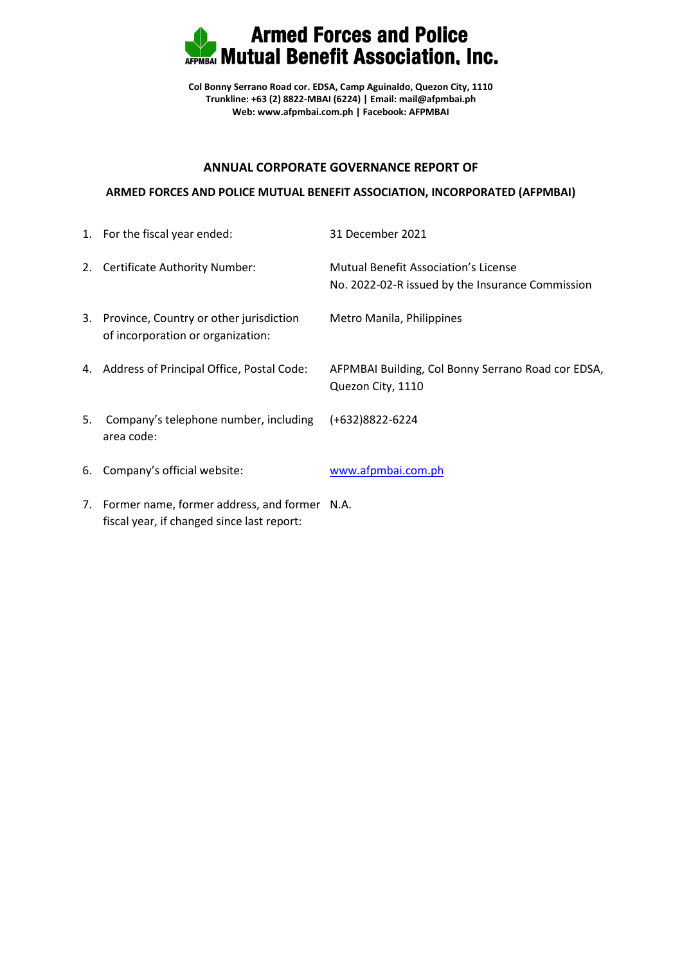

**Col Bonny Serrano Road cor. EDSA, Camp Aguinaldo, Quezon City, 1110 Trunkline: +63 (2) 8822-MBAI (6224) | Email: mail@afpmbai.ph Web: [www.afpmbai.com.ph](http://www.afpmbai.com.ph/) | Facebook: AFPMBAI**

## **ANNUAL CORPORATE GOVERNANCE REPORT OF**

## **ARMED FORCES AND POLICE MUTUAL BENEFIT ASSOCIATION, INCORPORATED (AFPMBAI)**

|    | 1. For the fiscal year ended:                                                   | 31 December 2021                                                                                |
|----|---------------------------------------------------------------------------------|-------------------------------------------------------------------------------------------------|
|    | 2. Certificate Authority Number:                                                | <b>Mutual Benefit Association's License</b><br>No. 2022-02-R issued by the Insurance Commission |
|    | 3. Province, Country or other jurisdiction<br>of incorporation or organization: | Metro Manila, Philippines                                                                       |
|    | 4. Address of Principal Office, Postal Code:                                    | AFPMBAI Building, Col Bonny Serrano Road cor EDSA,<br>Quezon City, 1110                         |
| 5. | Company's telephone number, including<br>area code:                             | (+632)8822-6224                                                                                 |
|    | 6. Company's official website:                                                  | www.afpmbai.com.ph                                                                              |
|    | 7. Former name, former address, and former N.A.                                 |                                                                                                 |

fiscal year, if changed since last report: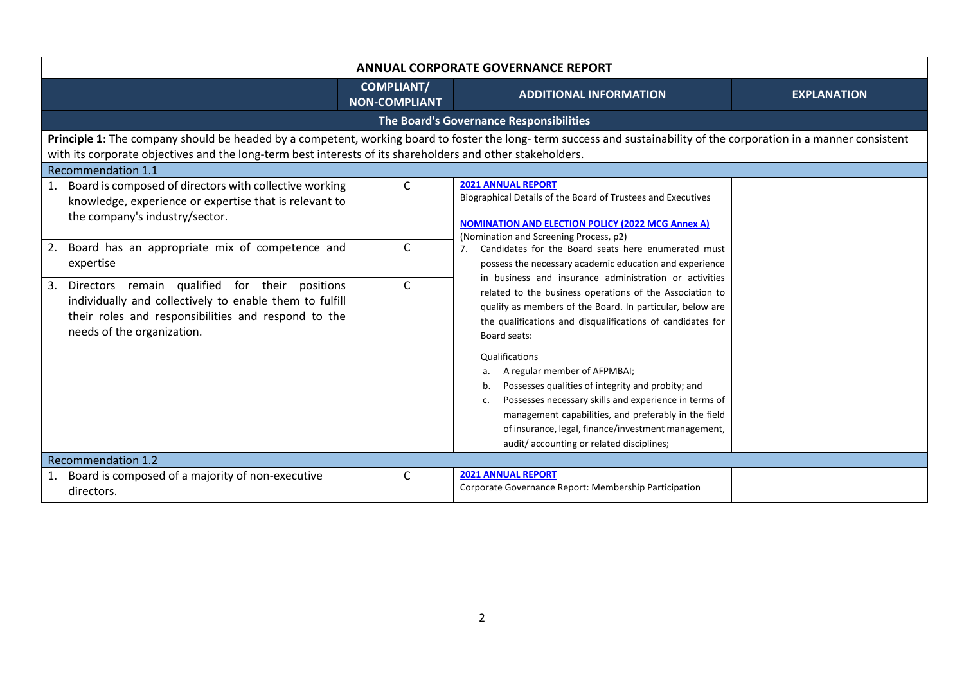| <b>ANNUAL CORPORATE GOVERNANCE REPORT</b>                                                                                                                                                                                                                                                                       |                                           |                                                                                                                                                                                                                                                                                                                                                                                                                              |                    |
|-----------------------------------------------------------------------------------------------------------------------------------------------------------------------------------------------------------------------------------------------------------------------------------------------------------------|-------------------------------------------|------------------------------------------------------------------------------------------------------------------------------------------------------------------------------------------------------------------------------------------------------------------------------------------------------------------------------------------------------------------------------------------------------------------------------|--------------------|
|                                                                                                                                                                                                                                                                                                                 | <b>COMPLIANT/</b><br><b>NON-COMPLIANT</b> | <b>ADDITIONAL INFORMATION</b>                                                                                                                                                                                                                                                                                                                                                                                                | <b>EXPLANATION</b> |
|                                                                                                                                                                                                                                                                                                                 |                                           | The Board's Governance Responsibilities                                                                                                                                                                                                                                                                                                                                                                                      |                    |
| Principle 1: The company should be headed by a competent, working board to foster the long-term success and sustainability of the corporation in a manner consistent<br>with its corporate objectives and the long-term best interests of its shareholders and other stakeholders.<br><b>Recommendation 1.1</b> |                                           |                                                                                                                                                                                                                                                                                                                                                                                                                              |                    |
| 1. Board is composed of directors with collective working<br>knowledge, experience or expertise that is relevant to<br>the company's industry/sector.                                                                                                                                                           | $\mathsf{C}$                              | <b>2021 ANNUAL REPORT</b><br>Biographical Details of the Board of Trustees and Executives<br><b>NOMINATION AND ELECTION POLICY (2022 MCG Annex A)</b>                                                                                                                                                                                                                                                                        |                    |
| 2. Board has an appropriate mix of competence and<br>expertise                                                                                                                                                                                                                                                  | $\mathsf{C}$                              | (Nomination and Screening Process, p2)<br>7. Candidates for the Board seats here enumerated must<br>possess the necessary academic education and experience<br>in business and insurance administration or activities<br>related to the business operations of the Association to<br>qualify as members of the Board. In particular, below are<br>the qualifications and disqualifications of candidates for<br>Board seats: |                    |
| 3. Directors remain qualified for their positions<br>individually and collectively to enable them to fulfill<br>their roles and responsibilities and respond to the<br>needs of the organization.                                                                                                               | $\mathsf{C}$                              |                                                                                                                                                                                                                                                                                                                                                                                                                              |                    |
|                                                                                                                                                                                                                                                                                                                 |                                           | Qualifications<br>A regular member of AFPMBAI;<br>a.<br>Possesses qualities of integrity and probity; and<br>b.<br>Possesses necessary skills and experience in terms of<br>c.<br>management capabilities, and preferably in the field<br>of insurance, legal, finance/investment management,<br>audit/accounting or related disciplines;                                                                                    |                    |
| <b>Recommendation 1.2</b>                                                                                                                                                                                                                                                                                       |                                           |                                                                                                                                                                                                                                                                                                                                                                                                                              |                    |
| 1. Board is composed of a majority of non-executive<br>directors.                                                                                                                                                                                                                                               | C                                         | <b>2021 ANNUAL REPORT</b><br>Corporate Governance Report: Membership Participation                                                                                                                                                                                                                                                                                                                                           |                    |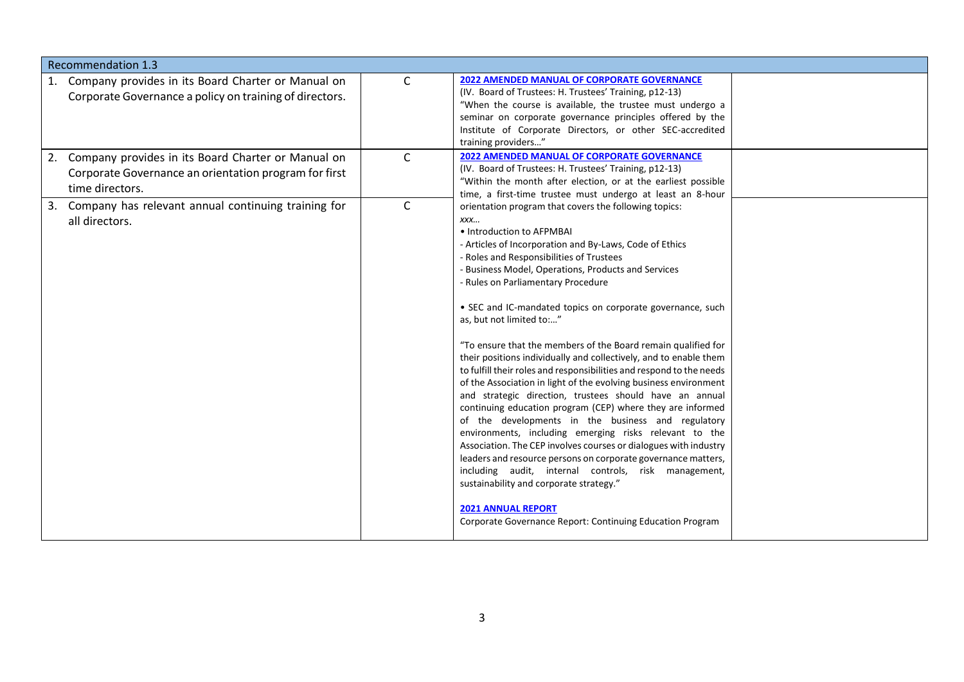| <b>Recommendation 1.3</b>                                                                                                         |              |                                                                                                                                                                                                                                                                                                                                                                                                                                                                                                                                                                                                                                                                                                                                                                                                                                                                                                                                                                                                                                                                                                                                                                                                                                                      |  |  |  |
|-----------------------------------------------------------------------------------------------------------------------------------|--------------|------------------------------------------------------------------------------------------------------------------------------------------------------------------------------------------------------------------------------------------------------------------------------------------------------------------------------------------------------------------------------------------------------------------------------------------------------------------------------------------------------------------------------------------------------------------------------------------------------------------------------------------------------------------------------------------------------------------------------------------------------------------------------------------------------------------------------------------------------------------------------------------------------------------------------------------------------------------------------------------------------------------------------------------------------------------------------------------------------------------------------------------------------------------------------------------------------------------------------------------------------|--|--|--|
| 1. Company provides in its Board Charter or Manual on<br>Corporate Governance a policy on training of directors.                  | C            | <b>2022 AMENDED MANUAL OF CORPORATE GOVERNANCE</b><br>(IV. Board of Trustees: H. Trustees' Training, p12-13)<br>"When the course is available, the trustee must undergo a<br>seminar on corporate governance principles offered by the<br>Institute of Corporate Directors, or other SEC-accredited<br>training providers"                                                                                                                                                                                                                                                                                                                                                                                                                                                                                                                                                                                                                                                                                                                                                                                                                                                                                                                           |  |  |  |
| 2. Company provides in its Board Charter or Manual on<br>Corporate Governance an orientation program for first<br>time directors. | $\mathsf{C}$ | <b>2022 AMENDED MANUAL OF CORPORATE GOVERNANCE</b><br>(IV. Board of Trustees: H. Trustees' Training, p12-13)<br>"Within the month after election, or at the earliest possible<br>time, a first-time trustee must undergo at least an 8-hour                                                                                                                                                                                                                                                                                                                                                                                                                                                                                                                                                                                                                                                                                                                                                                                                                                                                                                                                                                                                          |  |  |  |
| 3. Company has relevant annual continuing training for<br>all directors.                                                          | $\mathsf{C}$ | orientation program that covers the following topics:<br>XXX<br>• Introduction to AFPMBAI<br>- Articles of Incorporation and By-Laws, Code of Ethics<br>- Roles and Responsibilities of Trustees<br>- Business Model, Operations, Products and Services<br>- Rules on Parliamentary Procedure<br>• SEC and IC-mandated topics on corporate governance, such<br>as, but not limited to:"<br>"To ensure that the members of the Board remain qualified for<br>their positions individually and collectively, and to enable them<br>to fulfill their roles and responsibilities and respond to the needs<br>of the Association in light of the evolving business environment<br>and strategic direction, trustees should have an annual<br>continuing education program (CEP) where they are informed<br>of the developments in the business and regulatory<br>environments, including emerging risks relevant to the<br>Association. The CEP involves courses or dialogues with industry<br>leaders and resource persons on corporate governance matters,<br>including audit, internal controls, risk management,<br>sustainability and corporate strategy."<br><b>2021 ANNUAL REPORT</b><br>Corporate Governance Report: Continuing Education Program |  |  |  |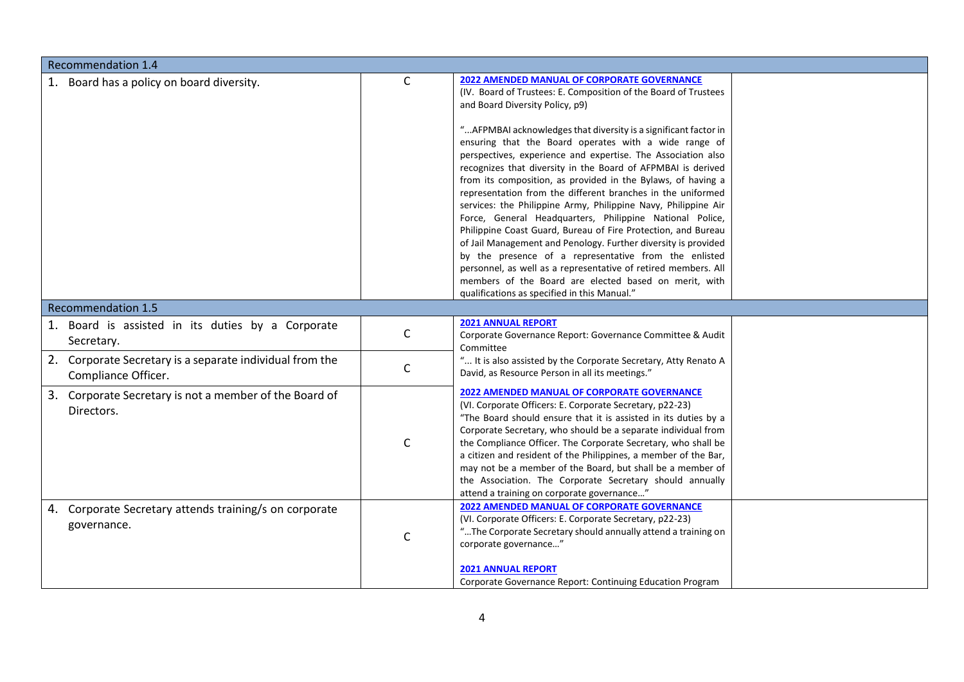| <b>Recommendation 1.4</b>                                                                                                                          |                   |                                                                                                                                                                                                                                                                                                                                                                                                                                                                                                                                                                                                                                                                                                                                                                                                                                                                                                                                                                                                                                                           |  |  |
|----------------------------------------------------------------------------------------------------------------------------------------------------|-------------------|-----------------------------------------------------------------------------------------------------------------------------------------------------------------------------------------------------------------------------------------------------------------------------------------------------------------------------------------------------------------------------------------------------------------------------------------------------------------------------------------------------------------------------------------------------------------------------------------------------------------------------------------------------------------------------------------------------------------------------------------------------------------------------------------------------------------------------------------------------------------------------------------------------------------------------------------------------------------------------------------------------------------------------------------------------------|--|--|
| 1. Board has a policy on board diversity.                                                                                                          | $\mathsf{C}$      | <b>2022 AMENDED MANUAL OF CORPORATE GOVERNANCE</b><br>(IV. Board of Trustees: E. Composition of the Board of Trustees<br>and Board Diversity Policy, p9)<br>" AFPMBAI acknowledges that diversity is a significant factor in<br>ensuring that the Board operates with a wide range of<br>perspectives, experience and expertise. The Association also<br>recognizes that diversity in the Board of AFPMBAI is derived<br>from its composition, as provided in the Bylaws, of having a<br>representation from the different branches in the uniformed<br>services: the Philippine Army, Philippine Navy, Philippine Air<br>Force, General Headquarters, Philippine National Police,<br>Philippine Coast Guard, Bureau of Fire Protection, and Bureau<br>of Jail Management and Penology. Further diversity is provided<br>by the presence of a representative from the enlisted<br>personnel, as well as a representative of retired members. All<br>members of the Board are elected based on merit, with<br>qualifications as specified in this Manual." |  |  |
| <b>Recommendation 1.5</b>                                                                                                                          |                   |                                                                                                                                                                                                                                                                                                                                                                                                                                                                                                                                                                                                                                                                                                                                                                                                                                                                                                                                                                                                                                                           |  |  |
| 1. Board is assisted in its duties by a Corporate<br>Secretary.<br>2. Corporate Secretary is a separate individual from the<br>Compliance Officer. | $\mathsf{C}$<br>C | <b>2021 ANNUAL REPORT</b><br>Corporate Governance Report: Governance Committee & Audit<br>Committee<br>" It is also assisted by the Corporate Secretary, Atty Renato A<br>David, as Resource Person in all its meetings."                                                                                                                                                                                                                                                                                                                                                                                                                                                                                                                                                                                                                                                                                                                                                                                                                                 |  |  |
| 3. Corporate Secretary is not a member of the Board of<br>Directors.                                                                               | $\mathsf{C}$      | <b>2022 AMENDED MANUAL OF CORPORATE GOVERNANCE</b><br>(VI. Corporate Officers: E. Corporate Secretary, p22-23)<br>"The Board should ensure that it is assisted in its duties by a<br>Corporate Secretary, who should be a separate individual from<br>the Compliance Officer. The Corporate Secretary, who shall be<br>a citizen and resident of the Philippines, a member of the Bar,<br>may not be a member of the Board, but shall be a member of<br>the Association. The Corporate Secretary should annually<br>attend a training on corporate governance"                                                                                                                                                                                                                                                                                                                                                                                                                                                                                            |  |  |
| 4. Corporate Secretary attends training/s on corporate<br>governance.                                                                              | $\mathsf{C}$      | 2022 AMENDED MANUAL OF CORPORATE GOVERNANCE<br>(VI. Corporate Officers: E. Corporate Secretary, p22-23)<br>"The Corporate Secretary should annually attend a training on<br>corporate governance"<br><b>2021 ANNUAL REPORT</b><br>Corporate Governance Report: Continuing Education Program                                                                                                                                                                                                                                                                                                                                                                                                                                                                                                                                                                                                                                                                                                                                                               |  |  |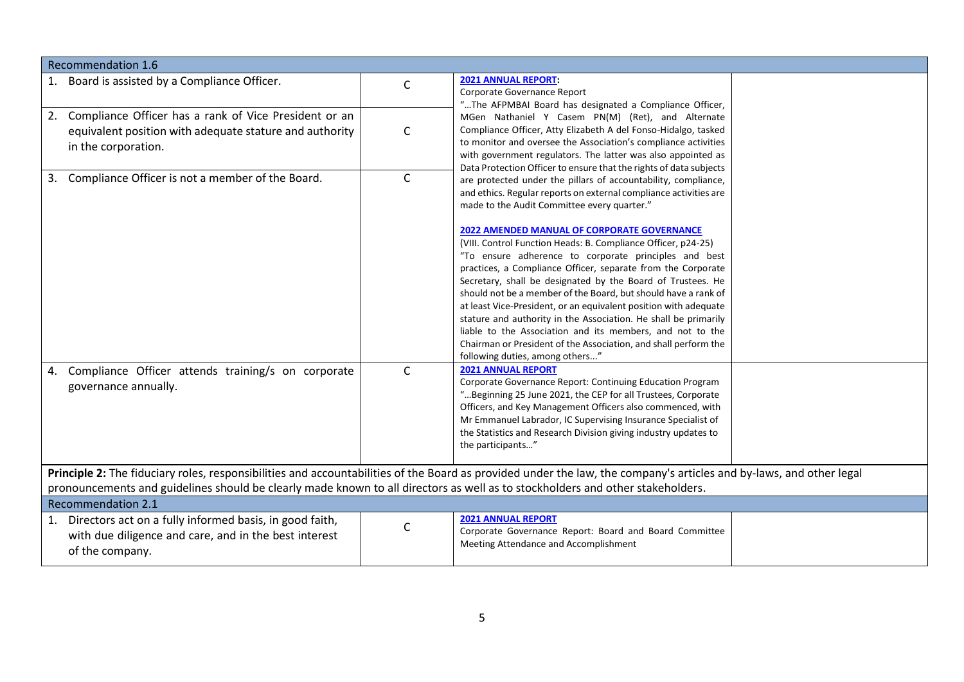| <b>Recommendation 1.6</b>                                                                                                                                                                                                                                                                             |              |                                                                                                                                                                                                                                                                                                                                                                                                                                                                                                                                                                                                                                   |  |  |
|-------------------------------------------------------------------------------------------------------------------------------------------------------------------------------------------------------------------------------------------------------------------------------------------------------|--------------|-----------------------------------------------------------------------------------------------------------------------------------------------------------------------------------------------------------------------------------------------------------------------------------------------------------------------------------------------------------------------------------------------------------------------------------------------------------------------------------------------------------------------------------------------------------------------------------------------------------------------------------|--|--|
| 1. Board is assisted by a Compliance Officer.                                                                                                                                                                                                                                                         | $\mathsf{C}$ | <b>2021 ANNUAL REPORT:</b><br>Corporate Governance Report<br>"The AFPMBAI Board has designated a Compliance Officer,                                                                                                                                                                                                                                                                                                                                                                                                                                                                                                              |  |  |
| 2. Compliance Officer has a rank of Vice President or an<br>equivalent position with adequate stature and authority<br>in the corporation.                                                                                                                                                            | $\mathsf{C}$ | MGen Nathaniel Y Casem PN(M) (Ret), and Alternate<br>Compliance Officer, Atty Elizabeth A del Fonso-Hidalgo, tasked<br>to monitor and oversee the Association's compliance activities<br>with government regulators. The latter was also appointed as<br>Data Protection Officer to ensure that the rights of data subjects                                                                                                                                                                                                                                                                                                       |  |  |
| 3. Compliance Officer is not a member of the Board.                                                                                                                                                                                                                                                   | $\mathsf{C}$ | are protected under the pillars of accountability, compliance,<br>and ethics. Regular reports on external compliance activities are<br>made to the Audit Committee every quarter."<br><b>2022 AMENDED MANUAL OF CORPORATE GOVERNANCE</b>                                                                                                                                                                                                                                                                                                                                                                                          |  |  |
|                                                                                                                                                                                                                                                                                                       |              | (VIII. Control Function Heads: B. Compliance Officer, p24-25)<br>"To ensure adherence to corporate principles and best<br>practices, a Compliance Officer, separate from the Corporate<br>Secretary, shall be designated by the Board of Trustees. He<br>should not be a member of the Board, but should have a rank of<br>at least Vice-President, or an equivalent position with adequate<br>stature and authority in the Association. He shall be primarily<br>liable to the Association and its members, and not to the<br>Chairman or President of the Association, and shall perform the<br>following duties, among others" |  |  |
| 4. Compliance Officer attends training/s on corporate<br>governance annually.                                                                                                                                                                                                                         | $\mathsf{C}$ | <b>2021 ANNUAL REPORT</b><br>Corporate Governance Report: Continuing Education Program<br>"Beginning 25 June 2021, the CEP for all Trustees, Corporate<br>Officers, and Key Management Officers also commenced, with<br>Mr Emmanuel Labrador, IC Supervising Insurance Specialist of<br>the Statistics and Research Division giving industry updates to<br>the participants"                                                                                                                                                                                                                                                      |  |  |
| Principle 2: The fiduciary roles, responsibilities and accountabilities of the Board as provided under the law, the company's articles and by-laws, and other legal<br>pronouncements and guidelines should be clearly made known to all directors as well as to stockholders and other stakeholders. |              |                                                                                                                                                                                                                                                                                                                                                                                                                                                                                                                                                                                                                                   |  |  |
| <b>Recommendation 2.1</b>                                                                                                                                                                                                                                                                             |              |                                                                                                                                                                                                                                                                                                                                                                                                                                                                                                                                                                                                                                   |  |  |
| 1. Directors act on a fully informed basis, in good faith,<br>with due diligence and care, and in the best interest<br>of the company.                                                                                                                                                                | $\mathsf{C}$ | <b>2021 ANNUAL REPORT</b><br>Corporate Governance Report: Board and Board Committee<br>Meeting Attendance and Accomplishment                                                                                                                                                                                                                                                                                                                                                                                                                                                                                                      |  |  |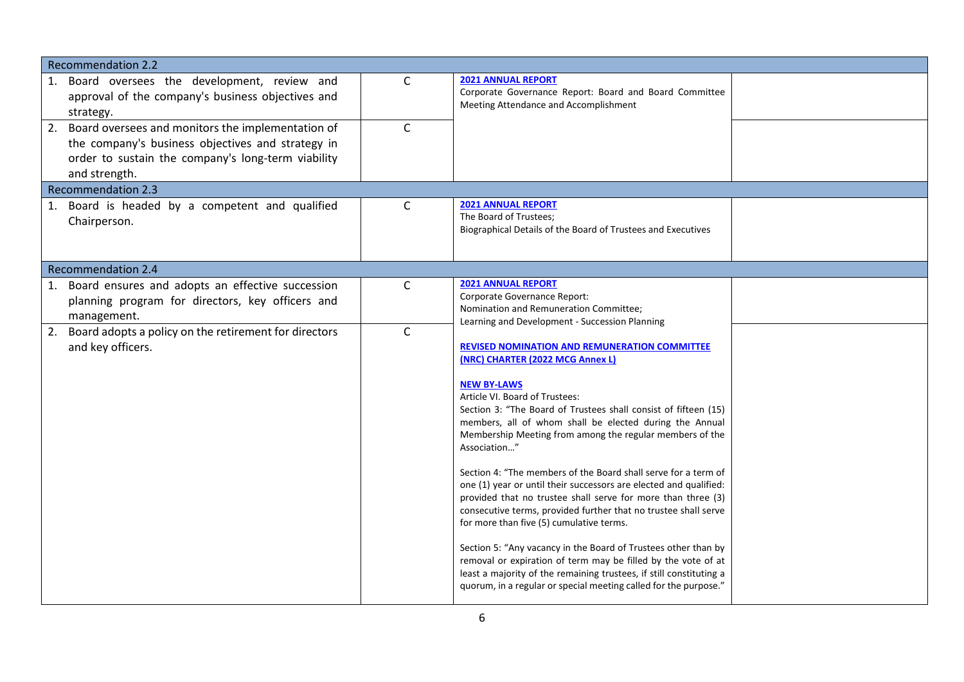| <b>Recommendation 2.2</b>                                                                                                                                                                               |                  |                                                                                                                                                                                                                                                                                                                                                                                                                                                                                                                                                                                                                                                                                                                                                                                                                                                                                                                                                                                                                                                                                                                         |  |
|---------------------------------------------------------------------------------------------------------------------------------------------------------------------------------------------------------|------------------|-------------------------------------------------------------------------------------------------------------------------------------------------------------------------------------------------------------------------------------------------------------------------------------------------------------------------------------------------------------------------------------------------------------------------------------------------------------------------------------------------------------------------------------------------------------------------------------------------------------------------------------------------------------------------------------------------------------------------------------------------------------------------------------------------------------------------------------------------------------------------------------------------------------------------------------------------------------------------------------------------------------------------------------------------------------------------------------------------------------------------|--|
| 1. Board oversees the development, review and<br>approval of the company's business objectives and<br>strategy.                                                                                         | C                | <b>2021 ANNUAL REPORT</b><br>Corporate Governance Report: Board and Board Committee<br>Meeting Attendance and Accomplishment                                                                                                                                                                                                                                                                                                                                                                                                                                                                                                                                                                                                                                                                                                                                                                                                                                                                                                                                                                                            |  |
| 2. Board oversees and monitors the implementation of<br>the company's business objectives and strategy in<br>order to sustain the company's long-term viability<br>and strength.                        | $\mathsf{C}$     |                                                                                                                                                                                                                                                                                                                                                                                                                                                                                                                                                                                                                                                                                                                                                                                                                                                                                                                                                                                                                                                                                                                         |  |
| <b>Recommendation 2.3</b>                                                                                                                                                                               |                  |                                                                                                                                                                                                                                                                                                                                                                                                                                                                                                                                                                                                                                                                                                                                                                                                                                                                                                                                                                                                                                                                                                                         |  |
| 1. Board is headed by a competent and qualified<br>Chairperson.                                                                                                                                         | C                | <b>2021 ANNUAL REPORT</b><br>The Board of Trustees:<br>Biographical Details of the Board of Trustees and Executives                                                                                                                                                                                                                                                                                                                                                                                                                                                                                                                                                                                                                                                                                                                                                                                                                                                                                                                                                                                                     |  |
| <b>Recommendation 2.4</b>                                                                                                                                                                               |                  |                                                                                                                                                                                                                                                                                                                                                                                                                                                                                                                                                                                                                                                                                                                                                                                                                                                                                                                                                                                                                                                                                                                         |  |
| 1. Board ensures and adopts an effective succession<br>planning program for directors, key officers and<br>management.<br>2. Board adopts a policy on the retirement for directors<br>and key officers. | C<br>$\mathsf C$ | <b>2021 ANNUAL REPORT</b><br>Corporate Governance Report:<br>Nomination and Remuneration Committee;<br>Learning and Development - Succession Planning<br><b>REVISED NOMINATION AND REMUNERATION COMMITTEE</b><br>(NRC) CHARTER (2022 MCG Annex L)<br><b>NEW BY-LAWS</b><br>Article VI. Board of Trustees:<br>Section 3: "The Board of Trustees shall consist of fifteen (15)<br>members, all of whom shall be elected during the Annual<br>Membership Meeting from among the regular members of the<br>Association"<br>Section 4: "The members of the Board shall serve for a term of<br>one (1) year or until their successors are elected and qualified:<br>provided that no trustee shall serve for more than three (3)<br>consecutive terms, provided further that no trustee shall serve<br>for more than five (5) cumulative terms.<br>Section 5: "Any vacancy in the Board of Trustees other than by<br>removal or expiration of term may be filled by the vote of at<br>least a majority of the remaining trustees, if still constituting a<br>quorum, in a regular or special meeting called for the purpose." |  |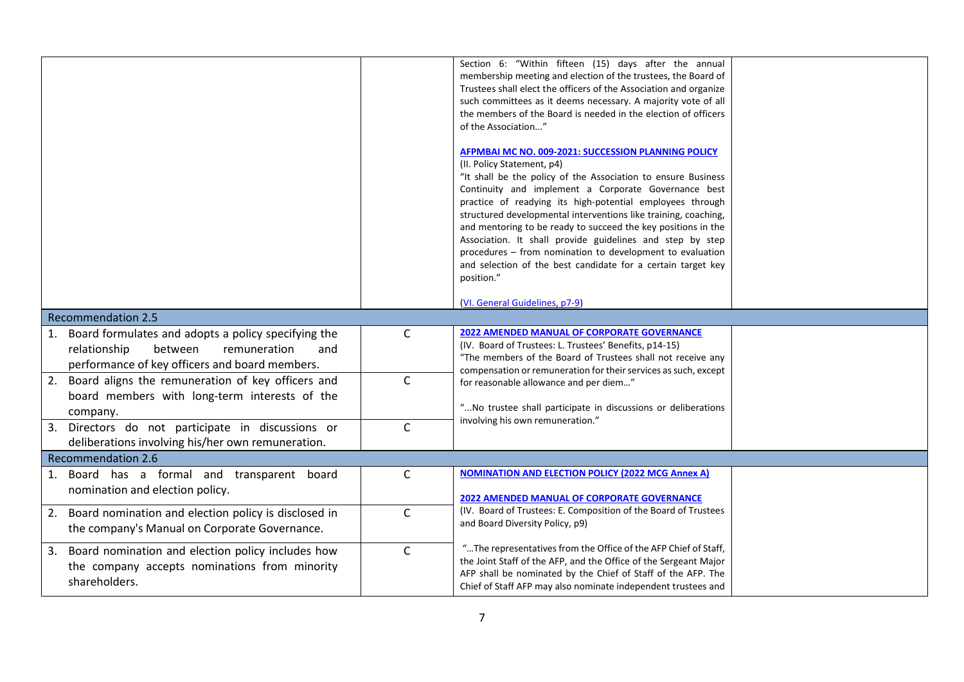|                                                         |              | Section 6: "Within fifteen (15) days after the annual                                                                               |  |
|---------------------------------------------------------|--------------|-------------------------------------------------------------------------------------------------------------------------------------|--|
|                                                         |              | membership meeting and election of the trustees, the Board of                                                                       |  |
|                                                         |              | Trustees shall elect the officers of the Association and organize                                                                   |  |
|                                                         |              | such committees as it deems necessary. A majority vote of all<br>the members of the Board is needed in the election of officers     |  |
|                                                         |              | of the Association"                                                                                                                 |  |
|                                                         |              |                                                                                                                                     |  |
|                                                         |              | AFPMBAI MC NO. 009-2021: SUCCESSION PLANNING POLICY                                                                                 |  |
|                                                         |              | (II. Policy Statement, p4)                                                                                                          |  |
|                                                         |              | "It shall be the policy of the Association to ensure Business                                                                       |  |
|                                                         |              | Continuity and implement a Corporate Governance best<br>practice of readying its high-potential employees through                   |  |
|                                                         |              | structured developmental interventions like training, coaching,                                                                     |  |
|                                                         |              | and mentoring to be ready to succeed the key positions in the                                                                       |  |
|                                                         |              | Association. It shall provide guidelines and step by step                                                                           |  |
|                                                         |              | procedures - from nomination to development to evaluation                                                                           |  |
|                                                         |              | and selection of the best candidate for a certain target key                                                                        |  |
|                                                         |              | position."                                                                                                                          |  |
|                                                         |              | (VI. General Guidelines, p7-9)                                                                                                      |  |
| <b>Recommendation 2.5</b>                               |              |                                                                                                                                     |  |
| 1. Board formulates and adopts a policy specifying the  | $\mathsf{C}$ | <b>2022 AMENDED MANUAL OF CORPORATE GOVERNANCE</b>                                                                                  |  |
| relationship<br>between<br>remuneration<br>and          |              | (IV. Board of Trustees: L. Trustees' Benefits, p14-15)                                                                              |  |
| performance of key officers and board members.          |              | "The members of the Board of Trustees shall not receive any                                                                         |  |
| 2. Board aligns the remuneration of key officers and    | $\mathsf{C}$ | compensation or remuneration for their services as such, except<br>for reasonable allowance and per diem"                           |  |
| board members with long-term interests of the           |              |                                                                                                                                     |  |
|                                                         |              | " No trustee shall participate in discussions or deliberations                                                                      |  |
| company.                                                | $\mathsf{C}$ | involving his own remuneration."                                                                                                    |  |
| 3. Directors do not participate in discussions or       |              |                                                                                                                                     |  |
| deliberations involving his/her own remuneration.       |              |                                                                                                                                     |  |
| <b>Recommendation 2.6</b>                               |              | <b>NOMINATION AND ELECTION POLICY (2022 MCG Annex A)</b>                                                                            |  |
| 1. Board has a formal and transparent board             | $\mathsf{C}$ |                                                                                                                                     |  |
| nomination and election policy.                         |              | <b>2022 AMENDED MANUAL OF CORPORATE GOVERNANCE</b>                                                                                  |  |
| 2. Board nomination and election policy is disclosed in | $\mathsf{C}$ | (IV. Board of Trustees: E. Composition of the Board of Trustees                                                                     |  |
| the company's Manual on Corporate Governance.           |              | and Board Diversity Policy, p9)                                                                                                     |  |
|                                                         |              |                                                                                                                                     |  |
| 3. Board nomination and election policy includes how    | $\mathsf{C}$ | "The representatives from the Office of the AFP Chief of Staff,<br>the Joint Staff of the AFP, and the Office of the Sergeant Major |  |
| the company accepts nominations from minority           |              | AFP shall be nominated by the Chief of Staff of the AFP. The                                                                        |  |
| shareholders.                                           |              | Chief of Staff AFP may also nominate independent trustees and                                                                       |  |
|                                                         |              |                                                                                                                                     |  |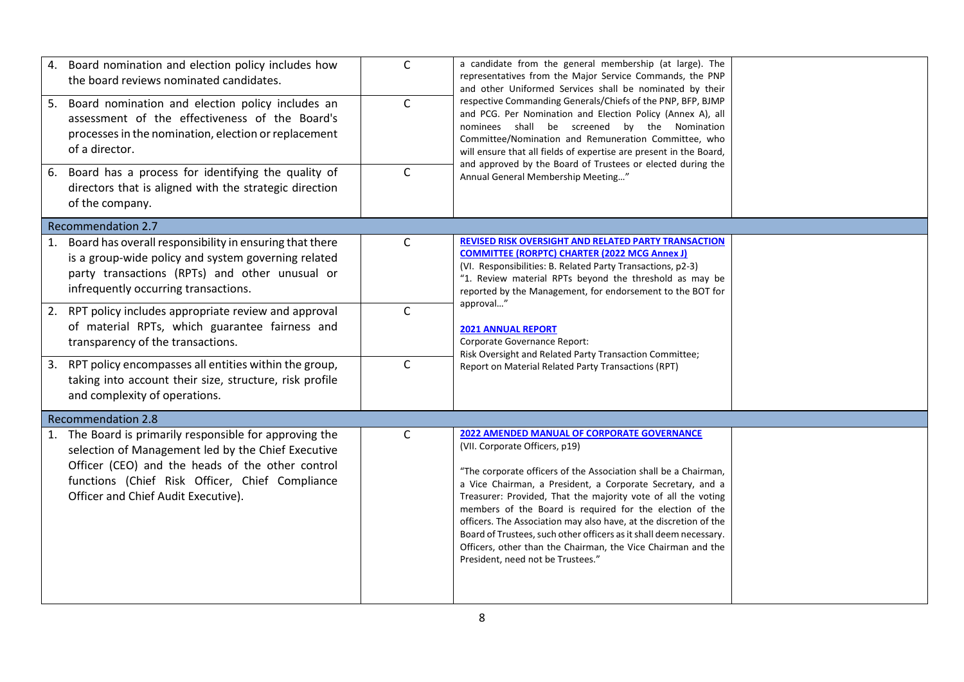| 4. Board nomination and election policy includes how<br>the board reviews nominated candidates.                                                                                                                                                             | $\mathsf{C}$ | a candidate from the general membership (at large). The<br>representatives from the Major Service Commands, the PNP<br>and other Uniformed Services shall be nominated by their<br>respective Commanding Generals/Chiefs of the PNP, BFP, BJMP<br>and PCG. Per Nomination and Election Policy (Annex A), all<br>nominees shall be screened by the Nomination<br>Committee/Nomination and Remuneration Committee, who<br>will ensure that all fields of expertise are present in the Board,<br>and approved by the Board of Trustees or elected during the<br>Annual General Membership Meeting"    |  |
|-------------------------------------------------------------------------------------------------------------------------------------------------------------------------------------------------------------------------------------------------------------|--------------|----------------------------------------------------------------------------------------------------------------------------------------------------------------------------------------------------------------------------------------------------------------------------------------------------------------------------------------------------------------------------------------------------------------------------------------------------------------------------------------------------------------------------------------------------------------------------------------------------|--|
| 5. Board nomination and election policy includes an<br>assessment of the effectiveness of the Board's<br>processes in the nomination, election or replacement<br>of a director.                                                                             | $\mathsf{C}$ |                                                                                                                                                                                                                                                                                                                                                                                                                                                                                                                                                                                                    |  |
| 6. Board has a process for identifying the quality of<br>directors that is aligned with the strategic direction<br>of the company.                                                                                                                          | $\mathsf{C}$ |                                                                                                                                                                                                                                                                                                                                                                                                                                                                                                                                                                                                    |  |
| <b>Recommendation 2.7</b>                                                                                                                                                                                                                                   |              |                                                                                                                                                                                                                                                                                                                                                                                                                                                                                                                                                                                                    |  |
| 1. Board has overall responsibility in ensuring that there<br>is a group-wide policy and system governing related<br>party transactions (RPTs) and other unusual or<br>infrequently occurring transactions.                                                 | C            | <b>REVISED RISK OVERSIGHT AND RELATED PARTY TRANSACTION</b><br><b>COMMITTEE (RORPTC) CHARTER (2022 MCG Annex J)</b><br>(VI. Responsibilities: B. Related Party Transactions, p2-3)<br>"1. Review material RPTs beyond the threshold as may be<br>reported by the Management, for endorsement to the BOT for                                                                                                                                                                                                                                                                                        |  |
| 2. RPT policy includes appropriate review and approval<br>of material RPTs, which guarantee fairness and<br>transparency of the transactions.                                                                                                               | $\mathsf{C}$ | approval"<br><b>2021 ANNUAL REPORT</b><br>Corporate Governance Report:<br>Risk Oversight and Related Party Transaction Committee;<br>Report on Material Related Party Transactions (RPT)                                                                                                                                                                                                                                                                                                                                                                                                           |  |
| 3. RPT policy encompasses all entities within the group,<br>taking into account their size, structure, risk profile<br>and complexity of operations.                                                                                                        | $\mathsf C$  |                                                                                                                                                                                                                                                                                                                                                                                                                                                                                                                                                                                                    |  |
| <b>Recommendation 2.8</b>                                                                                                                                                                                                                                   |              |                                                                                                                                                                                                                                                                                                                                                                                                                                                                                                                                                                                                    |  |
| 1. The Board is primarily responsible for approving the<br>selection of Management led by the Chief Executive<br>Officer (CEO) and the heads of the other control<br>functions (Chief Risk Officer, Chief Compliance<br>Officer and Chief Audit Executive). | $\mathsf{C}$ | <b>2022 AMENDED MANUAL OF CORPORATE GOVERNANCE</b><br>(VII. Corporate Officers, p19)<br>"The corporate officers of the Association shall be a Chairman,<br>a Vice Chairman, a President, a Corporate Secretary, and a<br>Treasurer: Provided, That the majority vote of all the voting<br>members of the Board is required for the election of the<br>officers. The Association may also have, at the discretion of the<br>Board of Trustees, such other officers as it shall deem necessary.<br>Officers, other than the Chairman, the Vice Chairman and the<br>President, need not be Trustees." |  |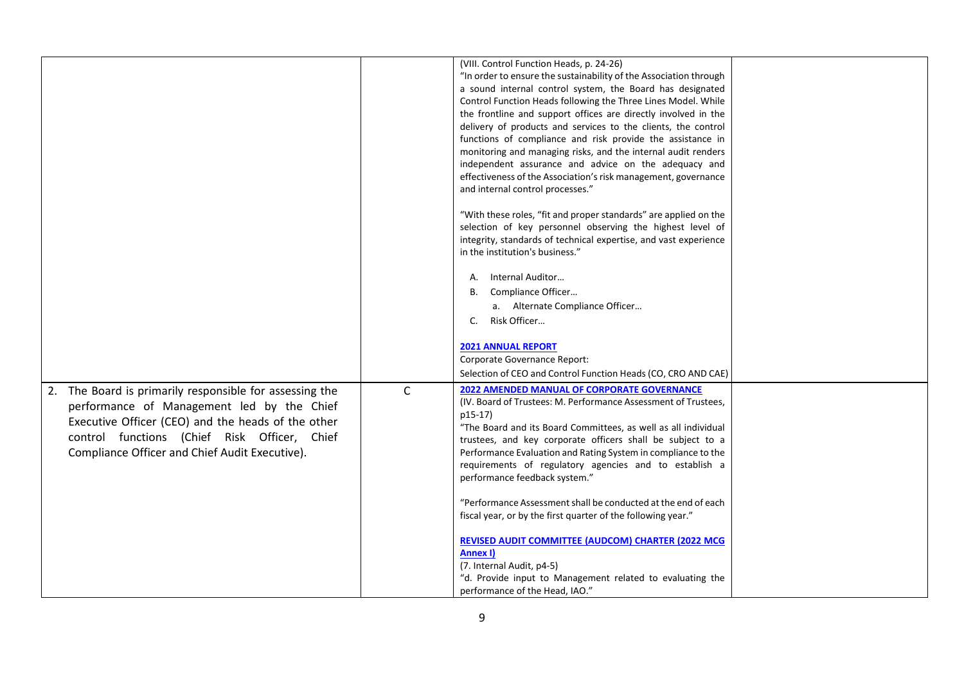|                                                         |              | (VIII. Control Function Heads, p. 24-26)                          |  |
|---------------------------------------------------------|--------------|-------------------------------------------------------------------|--|
|                                                         |              | "In order to ensure the sustainability of the Association through |  |
|                                                         |              | a sound internal control system, the Board has designated         |  |
|                                                         |              | Control Function Heads following the Three Lines Model. While     |  |
|                                                         |              | the frontline and support offices are directly involved in the    |  |
|                                                         |              | delivery of products and services to the clients, the control     |  |
|                                                         |              | functions of compliance and risk provide the assistance in        |  |
|                                                         |              | monitoring and managing risks, and the internal audit renders     |  |
|                                                         |              | independent assurance and advice on the adequacy and              |  |
|                                                         |              | effectiveness of the Association's risk management, governance    |  |
|                                                         |              | and internal control processes."                                  |  |
|                                                         |              |                                                                   |  |
|                                                         |              | "With these roles, "fit and proper standards" are applied on the  |  |
|                                                         |              | selection of key personnel observing the highest level of         |  |
|                                                         |              | integrity, standards of technical expertise, and vast experience  |  |
|                                                         |              | in the institution's business."                                   |  |
|                                                         |              |                                                                   |  |
|                                                         |              | Internal Auditor<br>А.                                            |  |
|                                                         |              | Compliance Officer<br>В.                                          |  |
|                                                         |              | a. Alternate Compliance Officer                                   |  |
|                                                         |              | Risk Officer<br>C.                                                |  |
|                                                         |              |                                                                   |  |
|                                                         |              | <b>2021 ANNUAL REPORT</b>                                         |  |
|                                                         |              | Corporate Governance Report:                                      |  |
|                                                         |              | Selection of CEO and Control Function Heads (CO, CRO AND CAE)     |  |
| 2. The Board is primarily responsible for assessing the | $\mathsf{C}$ | <b>2022 AMENDED MANUAL OF CORPORATE GOVERNANCE</b>                |  |
| performance of Management led by the Chief              |              | (IV. Board of Trustees: M. Performance Assessment of Trustees,    |  |
|                                                         |              | p15-17)                                                           |  |
| Executive Officer (CEO) and the heads of the other      |              | "The Board and its Board Committees, as well as all individual    |  |
| control functions (Chief Risk Officer, Chief            |              | trustees, and key corporate officers shall be subject to a        |  |
| Compliance Officer and Chief Audit Executive).          |              | Performance Evaluation and Rating System in compliance to the     |  |
|                                                         |              | requirements of regulatory agencies and to establish a            |  |
|                                                         |              | performance feedback system."                                     |  |
|                                                         |              |                                                                   |  |
|                                                         |              | "Performance Assessment shall be conducted at the end of each     |  |
|                                                         |              | fiscal year, or by the first quarter of the following year."      |  |
|                                                         |              |                                                                   |  |
|                                                         |              | REVISED AUDIT COMMITTEE (AUDCOM) CHARTER (2022 MCG                |  |
|                                                         |              | Annex I)                                                          |  |
|                                                         |              | (7. Internal Audit, p4-5)                                         |  |
|                                                         |              | "d. Provide input to Management related to evaluating the         |  |
|                                                         |              | performance of the Head, IAO."                                    |  |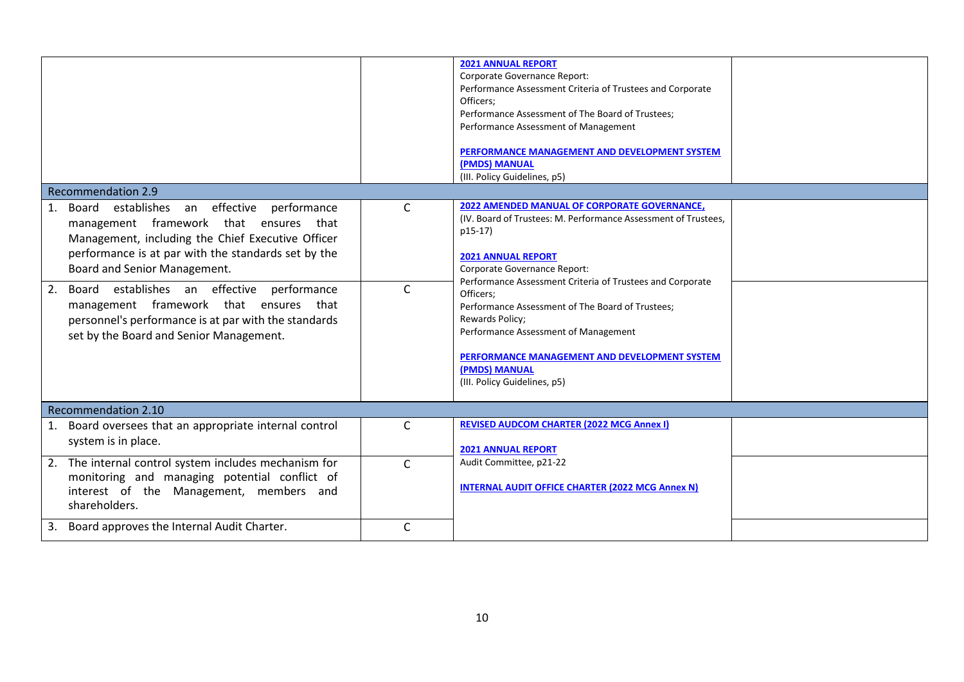|                                                                                                                                                                                                                                                                                                                                                                                                                                                     |                              | <b>2021 ANNUAL REPORT</b><br>Corporate Governance Report:<br>Performance Assessment Criteria of Trustees and Corporate<br>Officers:<br>Performance Assessment of The Board of Trustees;<br>Performance Assessment of Management<br>PERFORMANCE MANAGEMENT AND DEVELOPMENT SYSTEM<br>(PMDS) MANUAL<br>(III. Policy Guidelines, p5)                                                                                                       |  |
|-----------------------------------------------------------------------------------------------------------------------------------------------------------------------------------------------------------------------------------------------------------------------------------------------------------------------------------------------------------------------------------------------------------------------------------------------------|------------------------------|-----------------------------------------------------------------------------------------------------------------------------------------------------------------------------------------------------------------------------------------------------------------------------------------------------------------------------------------------------------------------------------------------------------------------------------------|--|
| <b>Recommendation 2.9</b>                                                                                                                                                                                                                                                                                                                                                                                                                           |                              |                                                                                                                                                                                                                                                                                                                                                                                                                                         |  |
| Board establishes an effective performance<br>$\mathbf{1}$ .<br>management framework that ensures that<br>Management, including the Chief Executive Officer<br>performance is at par with the standards set by the<br>Board and Senior Management.<br>2.<br>Board establishes an effective performance<br>management framework that ensures that<br>personnel's performance is at par with the standards<br>set by the Board and Senior Management. | $\mathsf{C}$<br>$\mathsf{C}$ | <b>2022 AMENDED MANUAL OF CORPORATE GOVERNANCE,</b><br>(IV. Board of Trustees: M. Performance Assessment of Trustees,<br>p15-17)<br><b>2021 ANNUAL REPORT</b><br>Corporate Governance Report:<br>Performance Assessment Criteria of Trustees and Corporate<br>Officers;<br>Performance Assessment of The Board of Trustees;<br>Rewards Policy;<br>Performance Assessment of Management<br>PERFORMANCE MANAGEMENT AND DEVELOPMENT SYSTEM |  |
|                                                                                                                                                                                                                                                                                                                                                                                                                                                     |                              | <b>(PMDS) MANUAL</b><br>(III. Policy Guidelines, p5)                                                                                                                                                                                                                                                                                                                                                                                    |  |
| <b>Recommendation 2.10</b>                                                                                                                                                                                                                                                                                                                                                                                                                          |                              |                                                                                                                                                                                                                                                                                                                                                                                                                                         |  |
| Board oversees that an appropriate internal control<br>1.<br>system is in place.                                                                                                                                                                                                                                                                                                                                                                    | $\mathsf{C}$                 | <b>REVISED AUDCOM CHARTER (2022 MCG Annex I)</b><br><b>2021 ANNUAL REPORT</b>                                                                                                                                                                                                                                                                                                                                                           |  |
| 2. The internal control system includes mechanism for<br>monitoring and managing potential conflict of<br>interest of the Management, members and<br>shareholders.                                                                                                                                                                                                                                                                                  | $\mathsf{C}$                 | Audit Committee, p21-22<br><b>INTERNAL AUDIT OFFICE CHARTER (2022 MCG Annex N)</b>                                                                                                                                                                                                                                                                                                                                                      |  |
| Board approves the Internal Audit Charter.<br>3.                                                                                                                                                                                                                                                                                                                                                                                                    | C                            |                                                                                                                                                                                                                                                                                                                                                                                                                                         |  |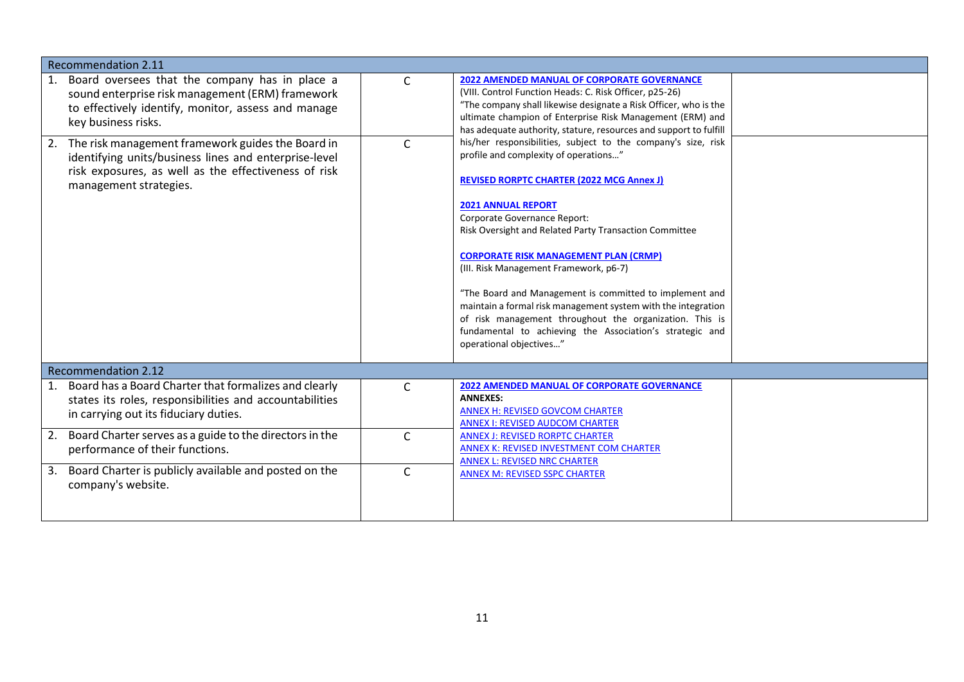| <b>Recommendation 2.11</b>                                                                                                                                                                                                                                                                                                                                                                |                   |                                                                                                                                                                                                                                                                                                                                                                                                                                                                                                                                                                                                                                                                                                                                                                                                                                                                                                                                                                                  |  |
|-------------------------------------------------------------------------------------------------------------------------------------------------------------------------------------------------------------------------------------------------------------------------------------------------------------------------------------------------------------------------------------------|-------------------|----------------------------------------------------------------------------------------------------------------------------------------------------------------------------------------------------------------------------------------------------------------------------------------------------------------------------------------------------------------------------------------------------------------------------------------------------------------------------------------------------------------------------------------------------------------------------------------------------------------------------------------------------------------------------------------------------------------------------------------------------------------------------------------------------------------------------------------------------------------------------------------------------------------------------------------------------------------------------------|--|
| Board oversees that the company has in place a<br>1.<br>sound enterprise risk management (ERM) framework<br>to effectively identify, monitor, assess and manage<br>key business risks.<br>2. The risk management framework guides the Board in<br>identifying units/business lines and enterprise-level<br>risk exposures, as well as the effectiveness of risk<br>management strategies. | C<br>$\mathsf{C}$ | <b>2022 AMENDED MANUAL OF CORPORATE GOVERNANCE</b><br>(VIII. Control Function Heads: C. Risk Officer, p25-26)<br>"The company shall likewise designate a Risk Officer, who is the<br>ultimate champion of Enterprise Risk Management (ERM) and<br>has adequate authority, stature, resources and support to fulfill<br>his/her responsibilities, subject to the company's size, risk<br>profile and complexity of operations"<br><b>REVISED RORPTC CHARTER (2022 MCG Annex J)</b><br><b>2021 ANNUAL REPORT</b><br>Corporate Governance Report:<br>Risk Oversight and Related Party Transaction Committee<br><b>CORPORATE RISK MANAGEMENT PLAN (CRMP)</b><br>(III. Risk Management Framework, p6-7)<br>"The Board and Management is committed to implement and<br>maintain a formal risk management system with the integration<br>of risk management throughout the organization. This is<br>fundamental to achieving the Association's strategic and<br>operational objectives" |  |
| <b>Recommendation 2.12</b>                                                                                                                                                                                                                                                                                                                                                                |                   |                                                                                                                                                                                                                                                                                                                                                                                                                                                                                                                                                                                                                                                                                                                                                                                                                                                                                                                                                                                  |  |
| Board has a Board Charter that formalizes and clearly<br>1.<br>states its roles, responsibilities and accountabilities<br>in carrying out its fiduciary duties.                                                                                                                                                                                                                           | $\mathsf{C}$      | <b>2022 AMENDED MANUAL OF CORPORATE GOVERNANCE</b><br><b>ANNEXES:</b><br><b>ANNEX H: REVISED GOVCOM CHARTER</b><br><b>ANNEX I: REVISED AUDCOM CHARTER</b>                                                                                                                                                                                                                                                                                                                                                                                                                                                                                                                                                                                                                                                                                                                                                                                                                        |  |
| Board Charter serves as a guide to the directors in the<br>2.<br>performance of their functions.                                                                                                                                                                                                                                                                                          | $\mathsf{C}$      | <b>ANNEX J: REVISED RORPTC CHARTER</b><br>ANNEX K: REVISED INVESTMENT COM CHARTER<br><b>ANNEX L: REVISED NRC CHARTER</b>                                                                                                                                                                                                                                                                                                                                                                                                                                                                                                                                                                                                                                                                                                                                                                                                                                                         |  |
| Board Charter is publicly available and posted on the<br>3.<br>company's website.                                                                                                                                                                                                                                                                                                         | $\mathsf{C}$      | <b>ANNEX M: REVISED SSPC CHARTER</b>                                                                                                                                                                                                                                                                                                                                                                                                                                                                                                                                                                                                                                                                                                                                                                                                                                                                                                                                             |  |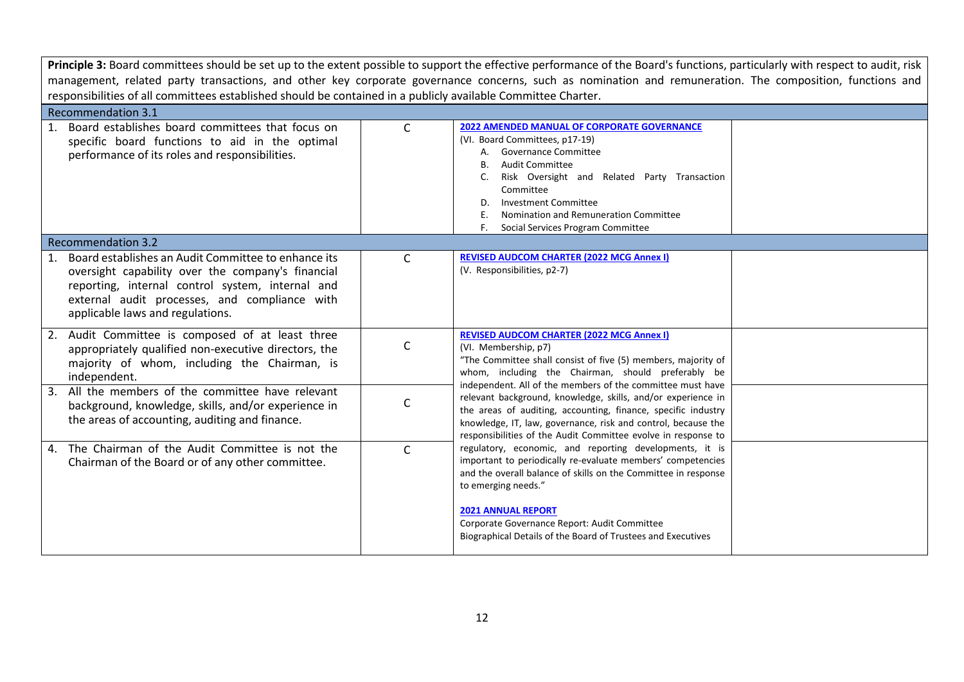Principle 3: Board committees should be set up to the extent possible to support the effective performance of the Board's functions, particularly with respect to audit, risk management, related party transactions, and other key corporate governance concerns, such as nomination and remuneration. The composition, functions and responsibilities of all committees established should be contained in a publicly available Committee Charter.

| Recommendation 3.1                                                                                                                                                                                                                                   |              |                                                                                                                                                                                                                                                                                                                                                                                                                                                                                                                                                  |  |
|------------------------------------------------------------------------------------------------------------------------------------------------------------------------------------------------------------------------------------------------------|--------------|--------------------------------------------------------------------------------------------------------------------------------------------------------------------------------------------------------------------------------------------------------------------------------------------------------------------------------------------------------------------------------------------------------------------------------------------------------------------------------------------------------------------------------------------------|--|
| 1. Board establishes board committees that focus on<br>specific board functions to aid in the optimal<br>performance of its roles and responsibilities.                                                                                              | C            | <b>2022 AMENDED MANUAL OF CORPORATE GOVERNANCE</b><br>(VI. Board Committees, p17-19)<br>A. Governance Committee<br><b>Audit Committee</b><br>В.<br>Risk Oversight and Related Party Transaction<br>C.<br>Committee<br><b>Investment Committee</b><br>D.<br>Nomination and Remuneration Committee<br>Social Services Program Committee                                                                                                                                                                                                            |  |
| <b>Recommendation 3.2</b>                                                                                                                                                                                                                            |              |                                                                                                                                                                                                                                                                                                                                                                                                                                                                                                                                                  |  |
| 1. Board establishes an Audit Committee to enhance its<br>oversight capability over the company's financial<br>reporting, internal control system, internal and<br>external audit processes, and compliance with<br>applicable laws and regulations. | $\mathsf{C}$ | <b>REVISED AUDCOM CHARTER (2022 MCG Annex I)</b><br>(V. Responsibilities, p2-7)                                                                                                                                                                                                                                                                                                                                                                                                                                                                  |  |
| 2. Audit Committee is composed of at least three<br>appropriately qualified non-executive directors, the<br>majority of whom, including the Chairman, is<br>independent.                                                                             | C            | <b>REVISED AUDCOM CHARTER (2022 MCG Annex I)</b><br>(VI. Membership, p7)<br>"The Committee shall consist of five (5) members, majority of<br>whom, including the Chairman, should preferably be                                                                                                                                                                                                                                                                                                                                                  |  |
| 3. All the members of the committee have relevant<br>background, knowledge, skills, and/or experience in<br>the areas of accounting, auditing and finance.                                                                                           | C            | independent. All of the members of the committee must have<br>relevant background, knowledge, skills, and/or experience in<br>the areas of auditing, accounting, finance, specific industry<br>knowledge, IT, law, governance, risk and control, because the<br>responsibilities of the Audit Committee evolve in response to<br>regulatory, economic, and reporting developments, it is<br>important to periodically re-evaluate members' competencies<br>and the overall balance of skills on the Committee in response<br>to emerging needs." |  |
| 4. The Chairman of the Audit Committee is not the<br>Chairman of the Board or of any other committee.                                                                                                                                                | $\mathsf{C}$ |                                                                                                                                                                                                                                                                                                                                                                                                                                                                                                                                                  |  |
|                                                                                                                                                                                                                                                      |              | <b>2021 ANNUAL REPORT</b><br>Corporate Governance Report: Audit Committee<br>Biographical Details of the Board of Trustees and Executives                                                                                                                                                                                                                                                                                                                                                                                                        |  |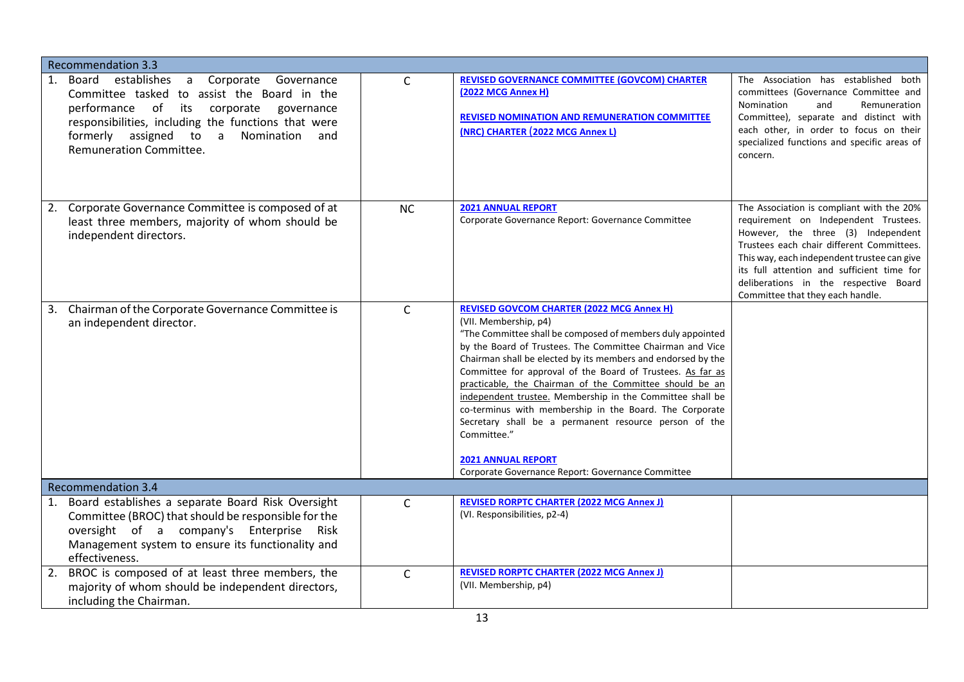| <b>Recommendation 3.3</b>                                                                                                                                                                                                                                              |              |                                                                                                                                                                                                                                                                                                                                                                                                                                                                                                                                                                                                                                                                                 |                                                                                                                                                                                                                                                                                                                                                |
|------------------------------------------------------------------------------------------------------------------------------------------------------------------------------------------------------------------------------------------------------------------------|--------------|---------------------------------------------------------------------------------------------------------------------------------------------------------------------------------------------------------------------------------------------------------------------------------------------------------------------------------------------------------------------------------------------------------------------------------------------------------------------------------------------------------------------------------------------------------------------------------------------------------------------------------------------------------------------------------|------------------------------------------------------------------------------------------------------------------------------------------------------------------------------------------------------------------------------------------------------------------------------------------------------------------------------------------------|
| establishes a Corporate Governance<br>1. Board<br>Committee tasked to assist the Board in the<br>performance of its corporate governance<br>responsibilities, including the functions that were<br>formerly assigned to a Nomination<br>and<br>Remuneration Committee. | $\mathsf{C}$ | <b>REVISED GOVERNANCE COMMITTEE (GOVCOM) CHARTER</b><br><b>(2022 MCG Annex H)</b><br><b>REVISED NOMINATION AND REMUNERATION COMMITTEE</b><br>(NRC) CHARTER (2022 MCG Annex L)                                                                                                                                                                                                                                                                                                                                                                                                                                                                                                   | The Association has established both<br>committees (Governance Committee and<br>Nomination<br>and<br>Remuneration<br>Committee), separate and distinct with<br>each other, in order to focus on their<br>specialized functions and specific areas of<br>concern.                                                                               |
| Corporate Governance Committee is composed of at<br>2.<br>least three members, majority of whom should be<br>independent directors.                                                                                                                                    | <b>NC</b>    | <b>2021 ANNUAL REPORT</b><br>Corporate Governance Report: Governance Committee                                                                                                                                                                                                                                                                                                                                                                                                                                                                                                                                                                                                  | The Association is compliant with the 20%<br>requirement on Independent Trustees.<br>However, the three (3) Independent<br>Trustees each chair different Committees.<br>This way, each independent trustee can give<br>its full attention and sufficient time for<br>deliberations in the respective Board<br>Committee that they each handle. |
| 3. Chairman of the Corporate Governance Committee is<br>an independent director.                                                                                                                                                                                       | $\mathsf{C}$ | <b>REVISED GOVCOM CHARTER (2022 MCG Annex H)</b><br>(VII. Membership, p4)<br>"The Committee shall be composed of members duly appointed<br>by the Board of Trustees. The Committee Chairman and Vice<br>Chairman shall be elected by its members and endorsed by the<br>Committee for approval of the Board of Trustees. As far as<br>practicable, the Chairman of the Committee should be an<br>independent trustee. Membership in the Committee shall be<br>co-terminus with membership in the Board. The Corporate<br>Secretary shall be a permanent resource person of the<br>Committee."<br><b>2021 ANNUAL REPORT</b><br>Corporate Governance Report: Governance Committee |                                                                                                                                                                                                                                                                                                                                                |
| <b>Recommendation 3.4</b>                                                                                                                                                                                                                                              |              |                                                                                                                                                                                                                                                                                                                                                                                                                                                                                                                                                                                                                                                                                 |                                                                                                                                                                                                                                                                                                                                                |
| 1. Board establishes a separate Board Risk Oversight<br>Committee (BROC) that should be responsible for the<br>oversight of a company's Enterprise<br>Risk<br>Management system to ensure its functionality and<br>effectiveness.                                      | $\mathsf{C}$ | <b>REVISED RORPTC CHARTER (2022 MCG Annex J)</b><br>(VI. Responsibilities, p2-4)                                                                                                                                                                                                                                                                                                                                                                                                                                                                                                                                                                                                |                                                                                                                                                                                                                                                                                                                                                |
| 2. BROC is composed of at least three members, the<br>majority of whom should be independent directors,<br>including the Chairman.                                                                                                                                     | $\mathsf{C}$ | <b>REVISED RORPTC CHARTER (2022 MCG Annex J)</b><br>(VII. Membership, p4)                                                                                                                                                                                                                                                                                                                                                                                                                                                                                                                                                                                                       |                                                                                                                                                                                                                                                                                                                                                |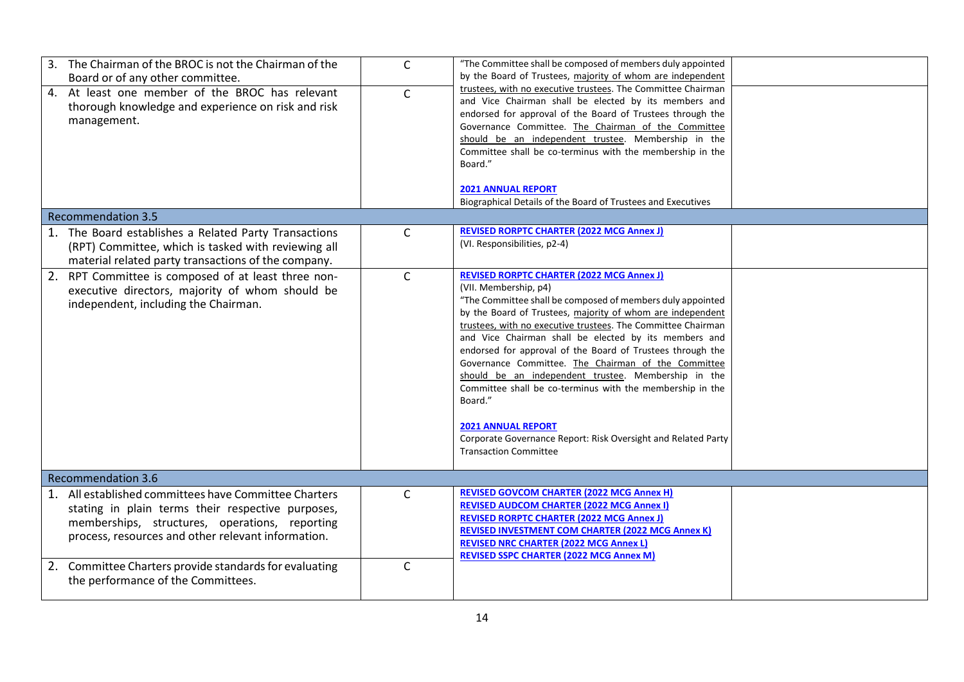| 3. The Chairman of the BROC is not the Chairman of the<br>Board or of any other committee.<br>4. At least one member of the BROC has relevant<br>thorough knowledge and experience on risk and risk<br>management.<br><b>Recommendation 3.5</b> | $\mathsf{C}$<br>$\mathsf{C}$ | "The Committee shall be composed of members duly appointed<br>by the Board of Trustees, majority of whom are independent<br>trustees, with no executive trustees. The Committee Chairman<br>and Vice Chairman shall be elected by its members and<br>endorsed for approval of the Board of Trustees through the<br>Governance Committee. The Chairman of the Committee<br>should be an independent trustee. Membership in the<br>Committee shall be co-terminus with the membership in the<br>Board."<br><b>2021 ANNUAL REPORT</b><br>Biographical Details of the Board of Trustees and Executives                                                                                                               |  |
|-------------------------------------------------------------------------------------------------------------------------------------------------------------------------------------------------------------------------------------------------|------------------------------|------------------------------------------------------------------------------------------------------------------------------------------------------------------------------------------------------------------------------------------------------------------------------------------------------------------------------------------------------------------------------------------------------------------------------------------------------------------------------------------------------------------------------------------------------------------------------------------------------------------------------------------------------------------------------------------------------------------|--|
|                                                                                                                                                                                                                                                 |                              | <b>REVISED RORPTC CHARTER (2022 MCG Annex J)</b>                                                                                                                                                                                                                                                                                                                                                                                                                                                                                                                                                                                                                                                                 |  |
| 1. The Board establishes a Related Party Transactions<br>(RPT) Committee, which is tasked with reviewing all<br>material related party transactions of the company.                                                                             | C                            | (VI. Responsibilities, p2-4)                                                                                                                                                                                                                                                                                                                                                                                                                                                                                                                                                                                                                                                                                     |  |
| 2. RPT Committee is composed of at least three non-<br>executive directors, majority of whom should be<br>independent, including the Chairman.                                                                                                  | $\mathsf{C}$                 | <b>REVISED RORPTC CHARTER (2022 MCG Annex J)</b><br>(VII. Membership, p4)<br>"The Committee shall be composed of members duly appointed<br>by the Board of Trustees, majority of whom are independent<br>trustees, with no executive trustees. The Committee Chairman<br>and Vice Chairman shall be elected by its members and<br>endorsed for approval of the Board of Trustees through the<br>Governance Committee. The Chairman of the Committee<br>should be an independent trustee. Membership in the<br>Committee shall be co-terminus with the membership in the<br>Board."<br><b>2021 ANNUAL REPORT</b><br>Corporate Governance Report: Risk Oversight and Related Party<br><b>Transaction Committee</b> |  |
| <b>Recommendation 3.6</b>                                                                                                                                                                                                                       |                              |                                                                                                                                                                                                                                                                                                                                                                                                                                                                                                                                                                                                                                                                                                                  |  |
| 1. All established committees have Committee Charters<br>stating in plain terms their respective purposes,<br>memberships, structures, operations, reporting<br>process, resources and other relevant information.                              | $\mathsf{C}$                 | <b>REVISED GOVCOM CHARTER (2022 MCG Annex H)</b><br><b>REVISED AUDCOM CHARTER (2022 MCG Annex I)</b><br><b>REVISED RORPTC CHARTER (2022 MCG Annex J)</b><br><b>REVISED INVESTMENT COM CHARTER (2022 MCG Annex K)</b><br><b>REVISED NRC CHARTER (2022 MCG Annex L)</b><br><b>REVISED SSPC CHARTER (2022 MCG Annex M)</b>                                                                                                                                                                                                                                                                                                                                                                                          |  |
| 2. Committee Charters provide standards for evaluating<br>the performance of the Committees.                                                                                                                                                    | $\mathsf{C}$                 |                                                                                                                                                                                                                                                                                                                                                                                                                                                                                                                                                                                                                                                                                                                  |  |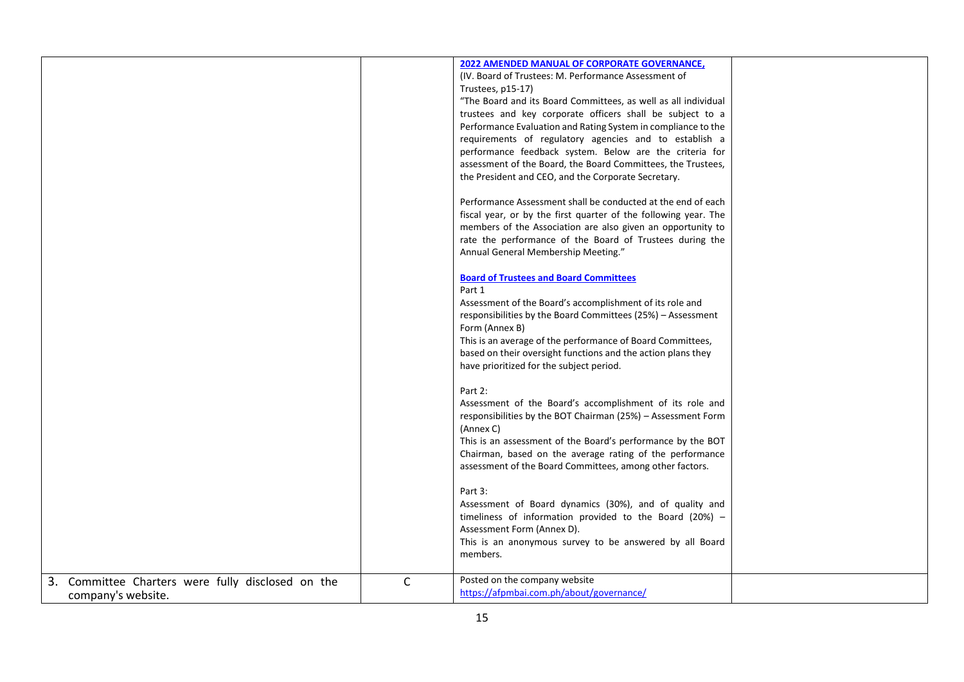|                                                   |              | <b>2022 AMENDED MANUAL OF CORPORATE GOVERNANCE,</b>             |  |
|---------------------------------------------------|--------------|-----------------------------------------------------------------|--|
|                                                   |              | (IV. Board of Trustees: M. Performance Assessment of            |  |
|                                                   |              | Trustees, p15-17)                                               |  |
|                                                   |              | "The Board and its Board Committees, as well as all individual  |  |
|                                                   |              | trustees and key corporate officers shall be subject to a       |  |
|                                                   |              | Performance Evaluation and Rating System in compliance to the   |  |
|                                                   |              | requirements of regulatory agencies and to establish a          |  |
|                                                   |              | performance feedback system. Below are the criteria for         |  |
|                                                   |              | assessment of the Board, the Board Committees, the Trustees,    |  |
|                                                   |              | the President and CEO, and the Corporate Secretary.             |  |
|                                                   |              | Performance Assessment shall be conducted at the end of each    |  |
|                                                   |              | fiscal year, or by the first quarter of the following year. The |  |
|                                                   |              | members of the Association are also given an opportunity to     |  |
|                                                   |              | rate the performance of the Board of Trustees during the        |  |
|                                                   |              | Annual General Membership Meeting."                             |  |
|                                                   |              | <b>Board of Trustees and Board Committees</b>                   |  |
|                                                   |              | Part 1                                                          |  |
|                                                   |              | Assessment of the Board's accomplishment of its role and        |  |
|                                                   |              | responsibilities by the Board Committees (25%) - Assessment     |  |
|                                                   |              | Form (Annex B)                                                  |  |
|                                                   |              | This is an average of the performance of Board Committees,      |  |
|                                                   |              | based on their oversight functions and the action plans they    |  |
|                                                   |              | have prioritized for the subject period.                        |  |
|                                                   |              |                                                                 |  |
|                                                   |              | Part 2:                                                         |  |
|                                                   |              | Assessment of the Board's accomplishment of its role and        |  |
|                                                   |              | responsibilities by the BOT Chairman (25%) - Assessment Form    |  |
|                                                   |              | (Annex C)                                                       |  |
|                                                   |              | This is an assessment of the Board's performance by the BOT     |  |
|                                                   |              | Chairman, based on the average rating of the performance        |  |
|                                                   |              | assessment of the Board Committees, among other factors.        |  |
|                                                   |              | Part 3:                                                         |  |
|                                                   |              | Assessment of Board dynamics (30%), and of quality and          |  |
|                                                   |              | timeliness of information provided to the Board (20%) $-$       |  |
|                                                   |              | Assessment Form (Annex D).                                      |  |
|                                                   |              | This is an anonymous survey to be answered by all Board         |  |
|                                                   |              | members.                                                        |  |
| 3. Committee Charters were fully disclosed on the | $\mathsf{C}$ | Posted on the company website                                   |  |
| company's website.                                |              | https://afpmbai.com.ph/about/governance/                        |  |
|                                                   |              |                                                                 |  |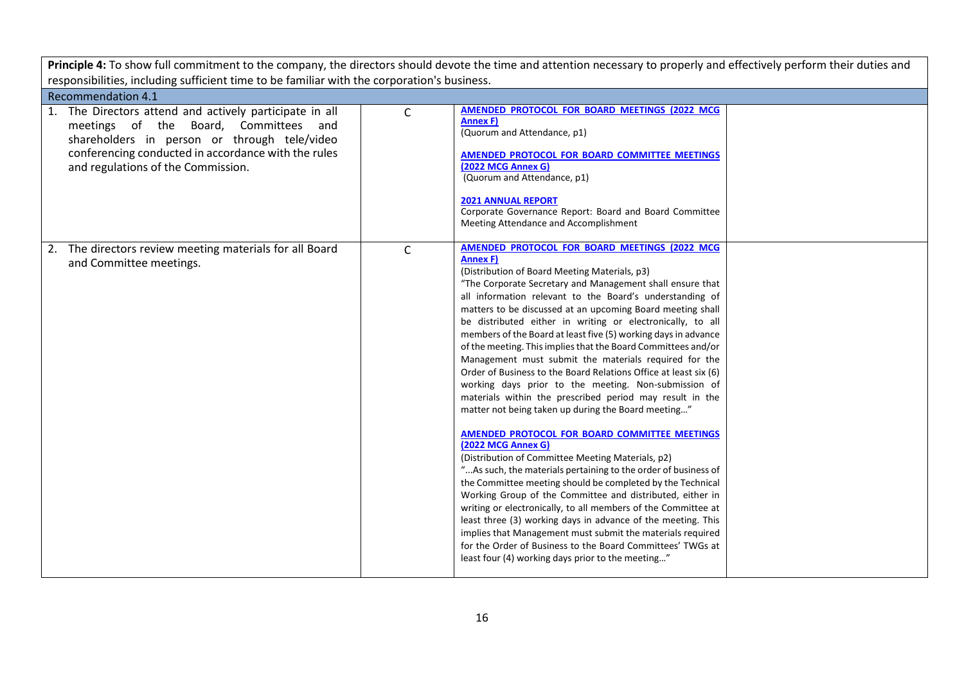| Principle 4: To show full commitment to the company, the directors should devote the time and attention necessary to properly and effectively perform their duties and                                                                           |              |                                                                                                                                                                                                                                                                                                                                                                                                                                                                                                                                                                                                                                                                                                                                                                                                                                                                                                                                                                                                                                                                                                                                                                                                                                                                                                                                                                                                                                                                     |  |  |  |
|--------------------------------------------------------------------------------------------------------------------------------------------------------------------------------------------------------------------------------------------------|--------------|---------------------------------------------------------------------------------------------------------------------------------------------------------------------------------------------------------------------------------------------------------------------------------------------------------------------------------------------------------------------------------------------------------------------------------------------------------------------------------------------------------------------------------------------------------------------------------------------------------------------------------------------------------------------------------------------------------------------------------------------------------------------------------------------------------------------------------------------------------------------------------------------------------------------------------------------------------------------------------------------------------------------------------------------------------------------------------------------------------------------------------------------------------------------------------------------------------------------------------------------------------------------------------------------------------------------------------------------------------------------------------------------------------------------------------------------------------------------|--|--|--|
| responsibilities, including sufficient time to be familiar with the corporation's business.                                                                                                                                                      |              |                                                                                                                                                                                                                                                                                                                                                                                                                                                                                                                                                                                                                                                                                                                                                                                                                                                                                                                                                                                                                                                                                                                                                                                                                                                                                                                                                                                                                                                                     |  |  |  |
| <b>Recommendation 4.1</b>                                                                                                                                                                                                                        |              |                                                                                                                                                                                                                                                                                                                                                                                                                                                                                                                                                                                                                                                                                                                                                                                                                                                                                                                                                                                                                                                                                                                                                                                                                                                                                                                                                                                                                                                                     |  |  |  |
| 1. The Directors attend and actively participate in all<br>meetings of the Board, Committees<br>and<br>shareholders in person or through tele/video<br>conferencing conducted in accordance with the rules<br>and regulations of the Commission. | $\mathsf{C}$ | AMENDED PROTOCOL FOR BOARD MEETINGS (2022 MCG<br>Annex F)<br>(Quorum and Attendance, p1)<br>AMENDED PROTOCOL FOR BOARD COMMITTEE MEETINGS<br>(2022 MCG Annex G)<br>(Quorum and Attendance, p1)<br><b>2021 ANNUAL REPORT</b><br>Corporate Governance Report: Board and Board Committee<br>Meeting Attendance and Accomplishment                                                                                                                                                                                                                                                                                                                                                                                                                                                                                                                                                                                                                                                                                                                                                                                                                                                                                                                                                                                                                                                                                                                                      |  |  |  |
| 2. The directors review meeting materials for all Board<br>and Committee meetings.                                                                                                                                                               | $\mathsf{C}$ | AMENDED PROTOCOL FOR BOARD MEETINGS (2022 MCG<br><b>Annex F)</b><br>(Distribution of Board Meeting Materials, p3)<br>"The Corporate Secretary and Management shall ensure that<br>all information relevant to the Board's understanding of<br>matters to be discussed at an upcoming Board meeting shall<br>be distributed either in writing or electronically, to all<br>members of the Board at least five (5) working days in advance<br>of the meeting. This implies that the Board Committees and/or<br>Management must submit the materials required for the<br>Order of Business to the Board Relations Office at least six (6)<br>working days prior to the meeting. Non-submission of<br>materials within the prescribed period may result in the<br>matter not being taken up during the Board meeting"<br>AMENDED PROTOCOL FOR BOARD COMMITTEE MEETINGS<br><b>(2022 MCG Annex G)</b><br>(Distribution of Committee Meeting Materials, p2)<br>"As such, the materials pertaining to the order of business of<br>the Committee meeting should be completed by the Technical<br>Working Group of the Committee and distributed, either in<br>writing or electronically, to all members of the Committee at<br>least three (3) working days in advance of the meeting. This<br>implies that Management must submit the materials required<br>for the Order of Business to the Board Committees' TWGs at<br>least four (4) working days prior to the meeting" |  |  |  |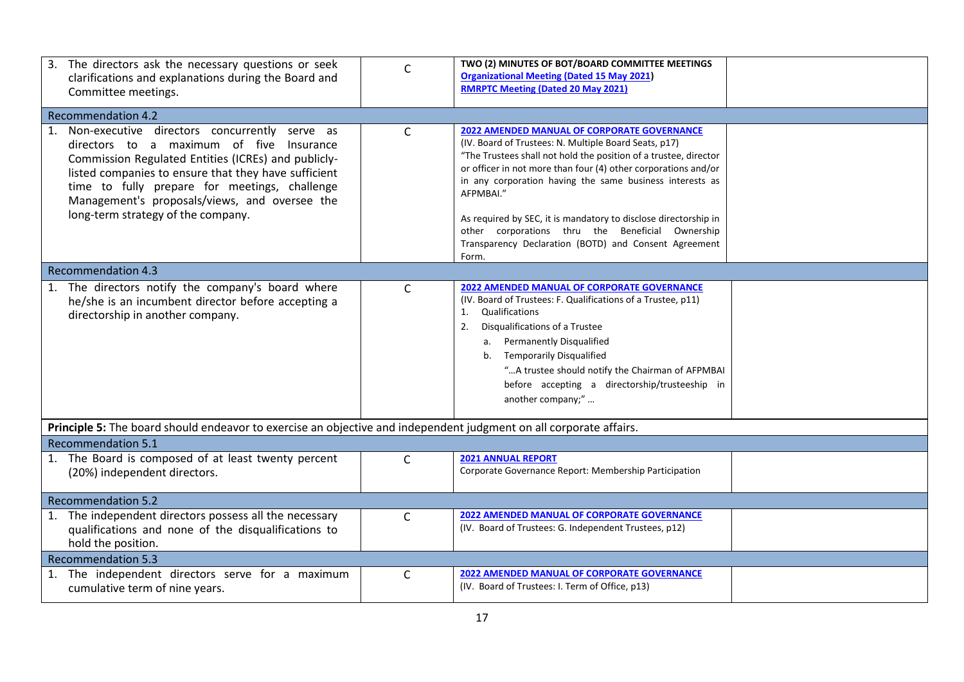| 3. The directors ask the necessary questions or seek<br>clarifications and explanations during the Board and<br>Committee meetings.                                                                                                                                                                                                                 | $\mathsf{C}$ | TWO (2) MINUTES OF BOT/BOARD COMMITTEE MEETINGS<br><b>Organizational Meeting (Dated 15 May 2021)</b><br><b>RMRPTC Meeting (Dated 20 May 2021)</b>                                                                                                                                                                                                                                                                                                                                                            |  |  |  |  |
|-----------------------------------------------------------------------------------------------------------------------------------------------------------------------------------------------------------------------------------------------------------------------------------------------------------------------------------------------------|--------------|--------------------------------------------------------------------------------------------------------------------------------------------------------------------------------------------------------------------------------------------------------------------------------------------------------------------------------------------------------------------------------------------------------------------------------------------------------------------------------------------------------------|--|--|--|--|
| <b>Recommendation 4.2</b>                                                                                                                                                                                                                                                                                                                           |              |                                                                                                                                                                                                                                                                                                                                                                                                                                                                                                              |  |  |  |  |
| 1. Non-executive directors concurrently serve as<br>directors to a maximum of five Insurance<br>Commission Regulated Entities (ICREs) and publicly-<br>listed companies to ensure that they have sufficient<br>time to fully prepare for meetings, challenge<br>Management's proposals/views, and oversee the<br>long-term strategy of the company. | C            | 2022 AMENDED MANUAL OF CORPORATE GOVERNANCE<br>(IV. Board of Trustees: N. Multiple Board Seats, p17)<br>"The Trustees shall not hold the position of a trustee, director<br>or officer in not more than four (4) other corporations and/or<br>in any corporation having the same business interests as<br>AFPMBAI."<br>As required by SEC, it is mandatory to disclose directorship in<br>other corporations thru the Beneficial Ownership<br>Transparency Declaration (BOTD) and Consent Agreement<br>Form. |  |  |  |  |
| <b>Recommendation 4.3</b>                                                                                                                                                                                                                                                                                                                           |              |                                                                                                                                                                                                                                                                                                                                                                                                                                                                                                              |  |  |  |  |
| 1. The directors notify the company's board where<br>he/she is an incumbent director before accepting a<br>directorship in another company.                                                                                                                                                                                                         | $\mathsf{C}$ | <b>2022 AMENDED MANUAL OF CORPORATE GOVERNANCE</b><br>(IV. Board of Trustees: F. Qualifications of a Trustee, p11)<br>Qualifications<br>1.<br>Disqualifications of a Trustee<br>2.<br>a. Permanently Disqualified<br>b. Temporarily Disqualified<br>" A trustee should notify the Chairman of AFPMBAI<br>before accepting a directorship/trusteeship in<br>another company;"                                                                                                                                 |  |  |  |  |
| Principle 5: The board should endeavor to exercise an objective and independent judgment on all corporate affairs.                                                                                                                                                                                                                                  |              |                                                                                                                                                                                                                                                                                                                                                                                                                                                                                                              |  |  |  |  |
| <b>Recommendation 5.1</b>                                                                                                                                                                                                                                                                                                                           |              |                                                                                                                                                                                                                                                                                                                                                                                                                                                                                                              |  |  |  |  |
| 1. The Board is composed of at least twenty percent<br>(20%) independent directors.                                                                                                                                                                                                                                                                 | $\mathsf{C}$ | <b>2021 ANNUAL REPORT</b><br>Corporate Governance Report: Membership Participation                                                                                                                                                                                                                                                                                                                                                                                                                           |  |  |  |  |
| <b>Recommendation 5.2</b>                                                                                                                                                                                                                                                                                                                           |              |                                                                                                                                                                                                                                                                                                                                                                                                                                                                                                              |  |  |  |  |
| 1. The independent directors possess all the necessary<br>qualifications and none of the disqualifications to<br>hold the position.                                                                                                                                                                                                                 | $\mathsf{C}$ | <b>2022 AMENDED MANUAL OF CORPORATE GOVERNANCE</b><br>(IV. Board of Trustees: G. Independent Trustees, p12)                                                                                                                                                                                                                                                                                                                                                                                                  |  |  |  |  |
| <b>Recommendation 5.3</b>                                                                                                                                                                                                                                                                                                                           |              |                                                                                                                                                                                                                                                                                                                                                                                                                                                                                                              |  |  |  |  |
| 1. The independent directors serve for a maximum<br>cumulative term of nine years.                                                                                                                                                                                                                                                                  | $\mathsf{C}$ | <b>2022 AMENDED MANUAL OF CORPORATE GOVERNANCE</b><br>(IV. Board of Trustees: I. Term of Office, p13)                                                                                                                                                                                                                                                                                                                                                                                                        |  |  |  |  |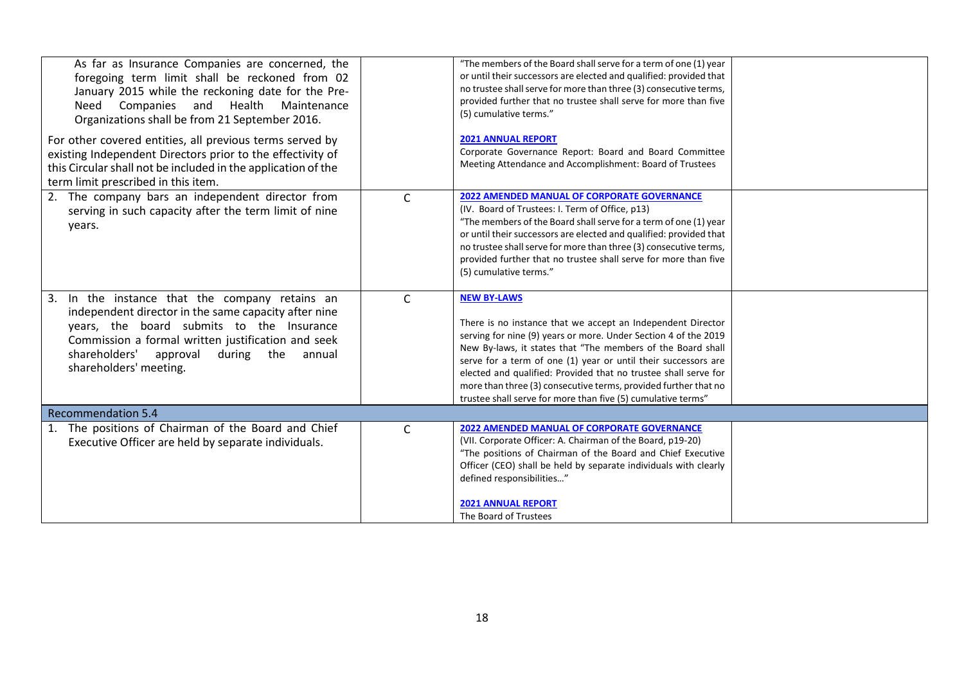| As far as Insurance Companies are concerned, the<br>foregoing term limit shall be reckoned from 02<br>January 2015 while the reckoning date for the Pre-<br>and Health Maintenance<br>Need Companies<br>Organizations shall be from 21 September 2016.                                |              | "The members of the Board shall serve for a term of one (1) year<br>or until their successors are elected and qualified: provided that<br>no trustee shall serve for more than three (3) consecutive terms,<br>provided further that no trustee shall serve for more than five<br>(5) cumulative terms."                                                                                                                                                                                    |  |
|---------------------------------------------------------------------------------------------------------------------------------------------------------------------------------------------------------------------------------------------------------------------------------------|--------------|---------------------------------------------------------------------------------------------------------------------------------------------------------------------------------------------------------------------------------------------------------------------------------------------------------------------------------------------------------------------------------------------------------------------------------------------------------------------------------------------|--|
| For other covered entities, all previous terms served by<br>existing Independent Directors prior to the effectivity of<br>this Circular shall not be included in the application of the<br>term limit prescribed in this item.                                                        |              | <b>2021 ANNUAL REPORT</b><br>Corporate Governance Report: Board and Board Committee<br>Meeting Attendance and Accomplishment: Board of Trustees                                                                                                                                                                                                                                                                                                                                             |  |
| 2. The company bars an independent director from<br>serving in such capacity after the term limit of nine<br>years.                                                                                                                                                                   | $\mathsf{C}$ | <b>2022 AMENDED MANUAL OF CORPORATE GOVERNANCE</b><br>(IV. Board of Trustees: I. Term of Office, p13)<br>"The members of the Board shall serve for a term of one (1) year<br>or until their successors are elected and qualified: provided that<br>no trustee shall serve for more than three (3) consecutive terms,<br>provided further that no trustee shall serve for more than five<br>(5) cumulative terms."                                                                           |  |
| 3. In the instance that the company retains an<br>independent director in the same capacity after nine<br>years, the board submits to the Insurance<br>Commission a formal written justification and seek<br>shareholders'<br>approval<br>during the annual<br>shareholders' meeting. | $\mathsf{C}$ | <b>NEW BY-LAWS</b><br>There is no instance that we accept an Independent Director<br>serving for nine (9) years or more. Under Section 4 of the 2019<br>New By-laws, it states that "The members of the Board shall<br>serve for a term of one (1) year or until their successors are<br>elected and qualified: Provided that no trustee shall serve for<br>more than three (3) consecutive terms, provided further that no<br>trustee shall serve for more than five (5) cumulative terms" |  |
| <b>Recommendation 5.4</b>                                                                                                                                                                                                                                                             |              |                                                                                                                                                                                                                                                                                                                                                                                                                                                                                             |  |
| 1. The positions of Chairman of the Board and Chief<br>Executive Officer are held by separate individuals.                                                                                                                                                                            | $\mathsf{C}$ | <b>2022 AMENDED MANUAL OF CORPORATE GOVERNANCE</b><br>(VII. Corporate Officer: A. Chairman of the Board, p19-20)<br>"The positions of Chairman of the Board and Chief Executive<br>Officer (CEO) shall be held by separate individuals with clearly<br>defined responsibilities"<br><b>2021 ANNUAL REPORT</b><br>The Board of Trustees                                                                                                                                                      |  |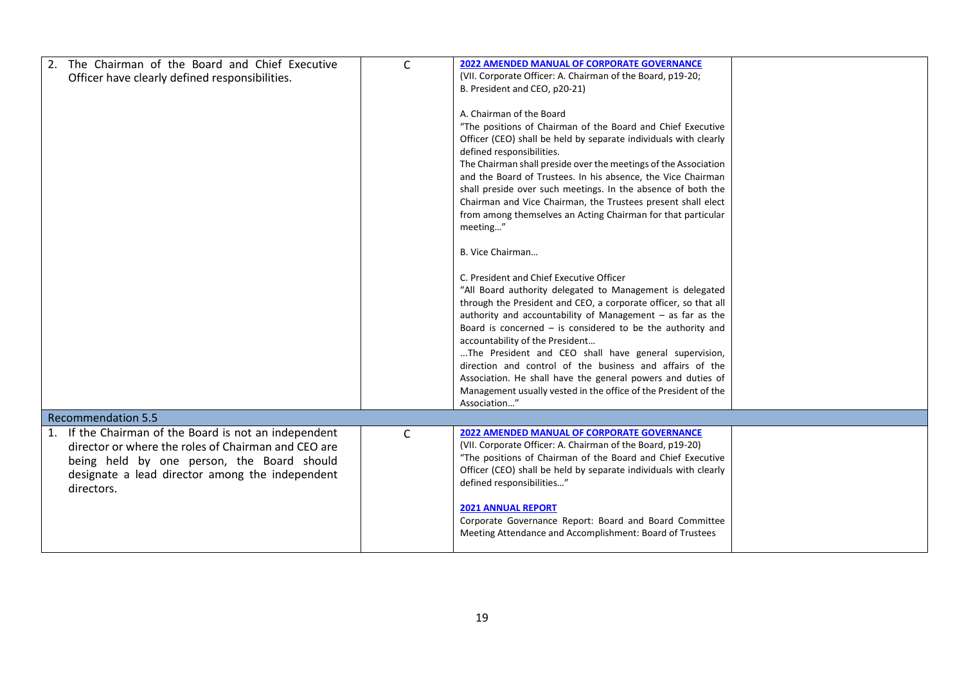| The Chairman of the Board and Chief Executive<br>2.<br>Officer have clearly defined responsibilities.                                                                                                                          | $\mathsf{C}$ | <b>2022 AMENDED MANUAL OF CORPORATE GOVERNANCE</b><br>(VII. Corporate Officer: A. Chairman of the Board, p19-20;<br>B. President and CEO, p20-21)<br>A. Chairman of the Board<br>"The positions of Chairman of the Board and Chief Executive<br>Officer (CEO) shall be held by separate individuals with clearly<br>defined responsibilities.<br>The Chairman shall preside over the meetings of the Association<br>and the Board of Trustees. In his absence, the Vice Chairman<br>shall preside over such meetings. In the absence of both the<br>Chairman and Vice Chairman, the Trustees present shall elect<br>from among themselves an Acting Chairman for that particular<br>meeting"<br>B. Vice Chairman<br>C. President and Chief Executive Officer<br>"All Board authority delegated to Management is delegated<br>through the President and CEO, a corporate officer, so that all<br>authority and accountability of Management $-$ as far as the<br>Board is concerned $-$ is considered to be the authority and<br>accountability of the President<br>The President and CEO shall have general supervision,<br>direction and control of the business and affairs of the<br>Association. He shall have the general powers and duties of<br>Management usually vested in the office of the President of the<br>Association" |  |
|--------------------------------------------------------------------------------------------------------------------------------------------------------------------------------------------------------------------------------|--------------|----------------------------------------------------------------------------------------------------------------------------------------------------------------------------------------------------------------------------------------------------------------------------------------------------------------------------------------------------------------------------------------------------------------------------------------------------------------------------------------------------------------------------------------------------------------------------------------------------------------------------------------------------------------------------------------------------------------------------------------------------------------------------------------------------------------------------------------------------------------------------------------------------------------------------------------------------------------------------------------------------------------------------------------------------------------------------------------------------------------------------------------------------------------------------------------------------------------------------------------------------------------------------------------------------------------------------------------|--|
| <b>Recommendation 5.5</b>                                                                                                                                                                                                      |              |                                                                                                                                                                                                                                                                                                                                                                                                                                                                                                                                                                                                                                                                                                                                                                                                                                                                                                                                                                                                                                                                                                                                                                                                                                                                                                                                        |  |
| If the Chairman of the Board is not an independent<br>1.<br>director or where the roles of Chairman and CEO are<br>being held by one person, the Board should<br>designate a lead director among the independent<br>directors. | $\mathsf{C}$ | 2022 AMENDED MANUAL OF CORPORATE GOVERNANCE<br>(VII. Corporate Officer: A. Chairman of the Board, p19-20)<br>"The positions of Chairman of the Board and Chief Executive<br>Officer (CEO) shall be held by separate individuals with clearly<br>defined responsibilities"<br><b>2021 ANNUAL REPORT</b><br>Corporate Governance Report: Board and Board Committee<br>Meeting Attendance and Accomplishment: Board of Trustees                                                                                                                                                                                                                                                                                                                                                                                                                                                                                                                                                                                                                                                                                                                                                                                                                                                                                                           |  |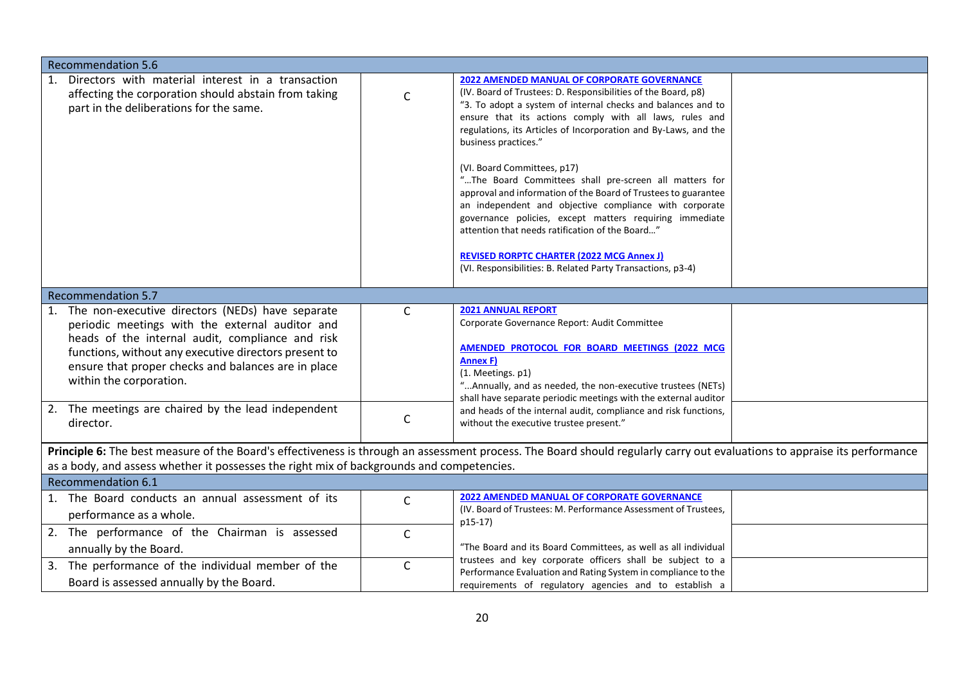| <b>Recommendation 5.6</b>                                                                                                                                                                                                                                                                             |              |                                                                                                                                                                                                                                                                                                                                                                                                                                                                                                                                                                                                                                                                                                                                                                                                 |  |
|-------------------------------------------------------------------------------------------------------------------------------------------------------------------------------------------------------------------------------------------------------------------------------------------------------|--------------|-------------------------------------------------------------------------------------------------------------------------------------------------------------------------------------------------------------------------------------------------------------------------------------------------------------------------------------------------------------------------------------------------------------------------------------------------------------------------------------------------------------------------------------------------------------------------------------------------------------------------------------------------------------------------------------------------------------------------------------------------------------------------------------------------|--|
| 1. Directors with material interest in a transaction<br>affecting the corporation should abstain from taking<br>part in the deliberations for the same.                                                                                                                                               | $\mathsf{C}$ | <b>2022 AMENDED MANUAL OF CORPORATE GOVERNANCE</b><br>(IV. Board of Trustees: D. Responsibilities of the Board, p8)<br>"3. To adopt a system of internal checks and balances and to<br>ensure that its actions comply with all laws, rules and<br>regulations, its Articles of Incorporation and By-Laws, and the<br>business practices."<br>(VI. Board Committees, p17)<br>"The Board Committees shall pre-screen all matters for<br>approval and information of the Board of Trustees to guarantee<br>an independent and objective compliance with corporate<br>governance policies, except matters requiring immediate<br>attention that needs ratification of the Board"<br><b>REVISED RORPTC CHARTER (2022 MCG Annex J)</b><br>(VI. Responsibilities: B. Related Party Transactions, p3-4) |  |
| <b>Recommendation 5.7</b>                                                                                                                                                                                                                                                                             |              |                                                                                                                                                                                                                                                                                                                                                                                                                                                                                                                                                                                                                                                                                                                                                                                                 |  |
| 1. The non-executive directors (NEDs) have separate<br>periodic meetings with the external auditor and<br>heads of the internal audit, compliance and risk<br>functions, without any executive directors present to<br>ensure that proper checks and balances are in place<br>within the corporation. | C            | <b>2021 ANNUAL REPORT</b><br>Corporate Governance Report: Audit Committee<br>AMENDED PROTOCOL FOR BOARD MEETINGS (2022 MCG<br><b>Annex F)</b><br>(1. Meetings. p1)<br>" Annually, and as needed, the non-executive trustees (NETs)<br>shall have separate periodic meetings with the external auditor                                                                                                                                                                                                                                                                                                                                                                                                                                                                                           |  |
| 2. The meetings are chaired by the lead independent<br>director.                                                                                                                                                                                                                                      | C            | and heads of the internal audit, compliance and risk functions,<br>without the executive trustee present."                                                                                                                                                                                                                                                                                                                                                                                                                                                                                                                                                                                                                                                                                      |  |
| Principle 6: The best measure of the Board's effectiveness is through an assessment process. The Board should regularly carry out evaluations to appraise its performance<br>as a body, and assess whether it possesses the right mix of backgrounds and competencies.                                |              |                                                                                                                                                                                                                                                                                                                                                                                                                                                                                                                                                                                                                                                                                                                                                                                                 |  |
| <b>Recommendation 6.1</b>                                                                                                                                                                                                                                                                             |              |                                                                                                                                                                                                                                                                                                                                                                                                                                                                                                                                                                                                                                                                                                                                                                                                 |  |
| 1. The Board conducts an annual assessment of its<br>performance as a whole.                                                                                                                                                                                                                          | $\mathsf{C}$ | 2022 AMENDED MANUAL OF CORPORATE GOVERNANCE<br>(IV. Board of Trustees: M. Performance Assessment of Trustees,<br>p15-17)                                                                                                                                                                                                                                                                                                                                                                                                                                                                                                                                                                                                                                                                        |  |
| 2. The performance of the Chairman is assessed<br>annually by the Board.                                                                                                                                                                                                                              | $\mathsf{C}$ | "The Board and its Board Committees, as well as all individual                                                                                                                                                                                                                                                                                                                                                                                                                                                                                                                                                                                                                                                                                                                                  |  |
| 3. The performance of the individual member of the<br>Board is assessed annually by the Board.                                                                                                                                                                                                        | $\mathsf{C}$ | trustees and key corporate officers shall be subject to a<br>Performance Evaluation and Rating System in compliance to the<br>requirements of regulatory agencies and to establish a                                                                                                                                                                                                                                                                                                                                                                                                                                                                                                                                                                                                            |  |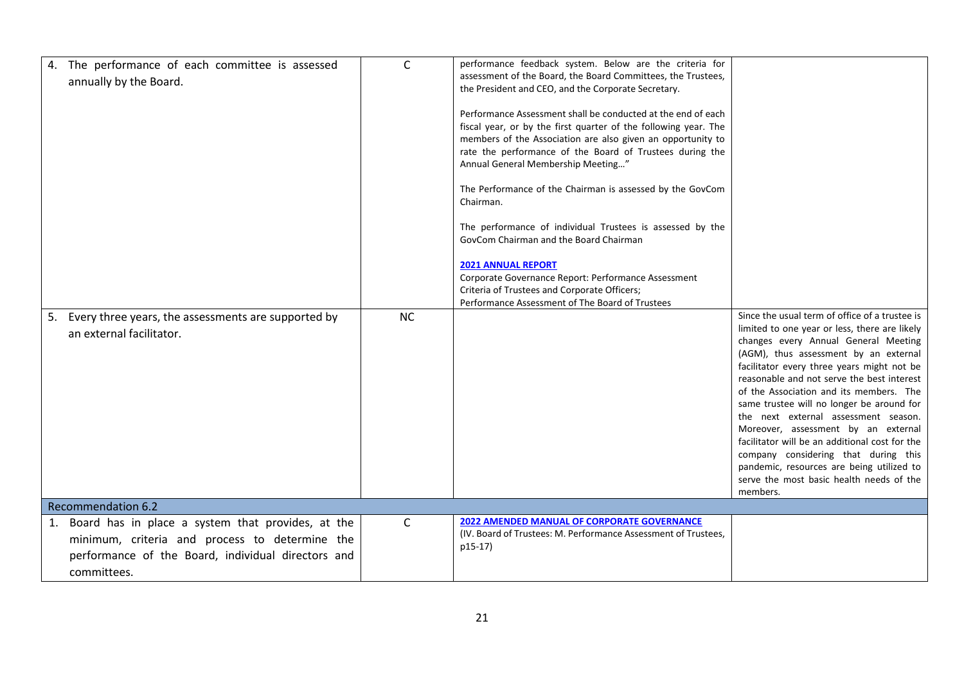| 4. The performance of each committee is assessed       | $\mathsf{C}$ | performance feedback system. Below are the criteria for                   |                                                                                   |
|--------------------------------------------------------|--------------|---------------------------------------------------------------------------|-----------------------------------------------------------------------------------|
| annually by the Board.                                 |              | assessment of the Board, the Board Committees, the Trustees,              |                                                                                   |
|                                                        |              | the President and CEO, and the Corporate Secretary.                       |                                                                                   |
|                                                        |              | Performance Assessment shall be conducted at the end of each              |                                                                                   |
|                                                        |              | fiscal year, or by the first quarter of the following year. The           |                                                                                   |
|                                                        |              | members of the Association are also given an opportunity to               |                                                                                   |
|                                                        |              | rate the performance of the Board of Trustees during the                  |                                                                                   |
|                                                        |              | Annual General Membership Meeting"                                        |                                                                                   |
|                                                        |              | The Performance of the Chairman is assessed by the GovCom                 |                                                                                   |
|                                                        |              | Chairman.                                                                 |                                                                                   |
|                                                        |              | The performance of individual Trustees is assessed by the                 |                                                                                   |
|                                                        |              | GovCom Chairman and the Board Chairman                                    |                                                                                   |
|                                                        |              | <b>2021 ANNUAL REPORT</b>                                                 |                                                                                   |
|                                                        |              | Corporate Governance Report: Performance Assessment                       |                                                                                   |
|                                                        |              | Criteria of Trustees and Corporate Officers;                              |                                                                                   |
|                                                        |              | Performance Assessment of The Board of Trustees                           | Since the usual term of office of a trustee is                                    |
| 5. Every three years, the assessments are supported by | <b>NC</b>    |                                                                           | limited to one year or less, there are likely                                     |
| an external facilitator.                               |              |                                                                           | changes every Annual General Meeting                                              |
|                                                        |              |                                                                           | (AGM), thus assessment by an external                                             |
|                                                        |              |                                                                           | facilitator every three years might not be                                        |
|                                                        |              |                                                                           | reasonable and not serve the best interest                                        |
|                                                        |              |                                                                           | of the Association and its members. The                                           |
|                                                        |              |                                                                           | same trustee will no longer be around for<br>the next external assessment season. |
|                                                        |              |                                                                           | Moreover, assessment by an external                                               |
|                                                        |              |                                                                           | facilitator will be an additional cost for the                                    |
|                                                        |              |                                                                           | company considering that during this                                              |
|                                                        |              |                                                                           | pandemic, resources are being utilized to                                         |
|                                                        |              |                                                                           | serve the most basic health needs of the                                          |
|                                                        |              |                                                                           | members.                                                                          |
| <b>Recommendation 6.2</b>                              |              |                                                                           |                                                                                   |
| 1. Board has in place a system that provides, at the   | $\mathsf{C}$ | <b>2022 AMENDED MANUAL OF CORPORATE GOVERNANCE</b>                        |                                                                                   |
| minimum, criteria and process to determine the         |              | (IV. Board of Trustees: M. Performance Assessment of Trustees,<br>p15-17) |                                                                                   |
| performance of the Board, individual directors and     |              |                                                                           |                                                                                   |
| committees.                                            |              |                                                                           |                                                                                   |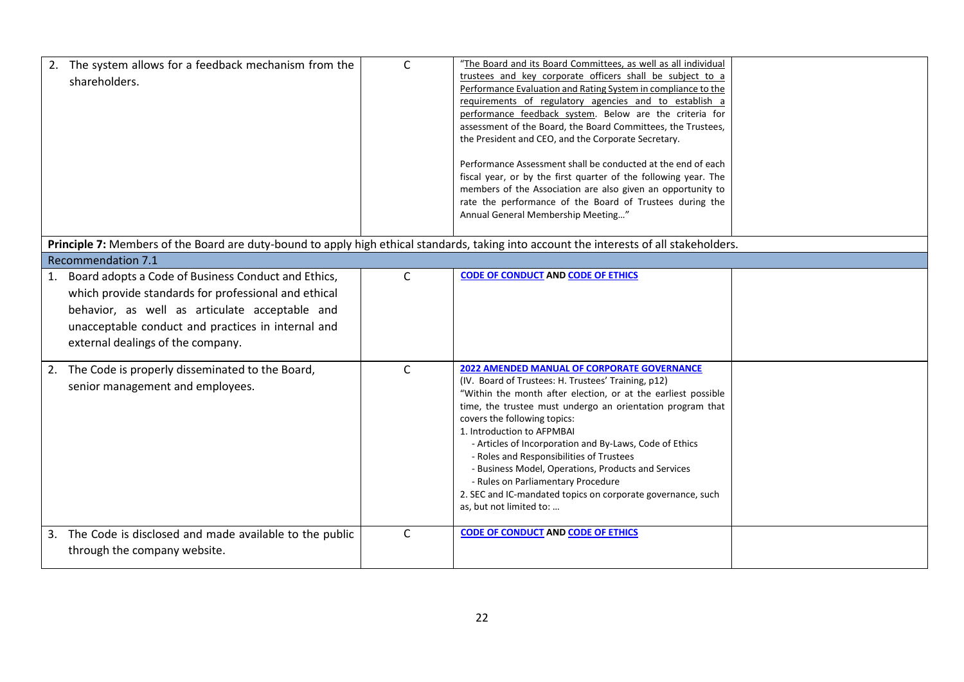| The system allows for a feedback mechanism from the<br>shareholders.                                                                                                                                                                                           | $\mathsf{C}$ | "The Board and its Board Committees, as well as all individual<br>trustees and key corporate officers shall be subject to a<br>Performance Evaluation and Rating System in compliance to the<br>requirements of regulatory agencies and to establish a<br>performance feedback system. Below are the criteria for<br>assessment of the Board, the Board Committees, the Trustees,<br>the President and CEO, and the Corporate Secretary.<br>Performance Assessment shall be conducted at the end of each<br>fiscal year, or by the first quarter of the following year. The<br>members of the Association are also given an opportunity to<br>rate the performance of the Board of Trustees during the<br>Annual General Membership Meeting" |  |
|----------------------------------------------------------------------------------------------------------------------------------------------------------------------------------------------------------------------------------------------------------------|--------------|----------------------------------------------------------------------------------------------------------------------------------------------------------------------------------------------------------------------------------------------------------------------------------------------------------------------------------------------------------------------------------------------------------------------------------------------------------------------------------------------------------------------------------------------------------------------------------------------------------------------------------------------------------------------------------------------------------------------------------------------|--|
| Principle 7: Members of the Board are duty-bound to apply high ethical standards, taking into account the interests of all stakeholders.                                                                                                                       |              |                                                                                                                                                                                                                                                                                                                                                                                                                                                                                                                                                                                                                                                                                                                                              |  |
| <b>Recommendation 7.1</b>                                                                                                                                                                                                                                      |              |                                                                                                                                                                                                                                                                                                                                                                                                                                                                                                                                                                                                                                                                                                                                              |  |
| Board adopts a Code of Business Conduct and Ethics,<br>1.<br>which provide standards for professional and ethical<br>behavior, as well as articulate acceptable and<br>unacceptable conduct and practices in internal and<br>external dealings of the company. | $\mathsf{C}$ | <b>CODE OF CONDUCT AND CODE OF ETHICS</b>                                                                                                                                                                                                                                                                                                                                                                                                                                                                                                                                                                                                                                                                                                    |  |
| 2. The Code is properly disseminated to the Board,<br>senior management and employees.                                                                                                                                                                         | $\mathsf{C}$ | <b>2022 AMENDED MANUAL OF CORPORATE GOVERNANCE</b><br>(IV. Board of Trustees: H. Trustees' Training, p12)<br>"Within the month after election, or at the earliest possible<br>time, the trustee must undergo an orientation program that<br>covers the following topics:<br>1. Introduction to AFPMBAI<br>- Articles of Incorporation and By-Laws, Code of Ethics<br>- Roles and Responsibilities of Trustees<br>- Business Model, Operations, Products and Services<br>- Rules on Parliamentary Procedure<br>2. SEC and IC-mandated topics on corporate governance, such<br>as, but not limited to:                                                                                                                                         |  |
| 3. The Code is disclosed and made available to the public<br>through the company website.                                                                                                                                                                      | $\mathsf{C}$ | <b>CODE OF CONDUCT AND CODE OF ETHICS</b>                                                                                                                                                                                                                                                                                                                                                                                                                                                                                                                                                                                                                                                                                                    |  |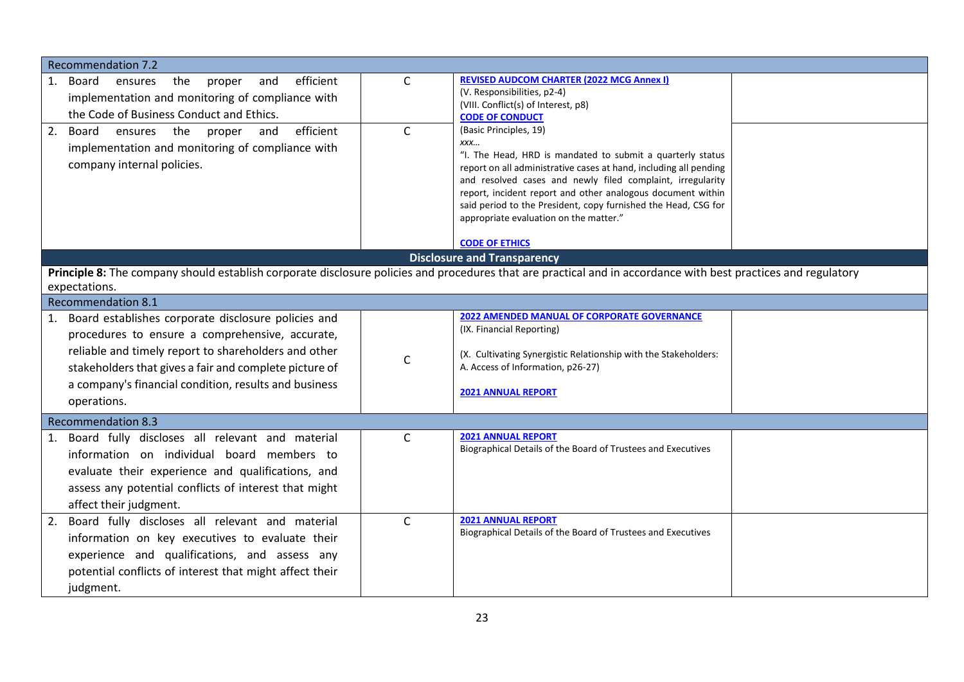| <b>Recommendation 7.2</b>                                                                                                                                      |              |                                                                                                                                 |  |
|----------------------------------------------------------------------------------------------------------------------------------------------------------------|--------------|---------------------------------------------------------------------------------------------------------------------------------|--|
|                                                                                                                                                                |              | <b>REVISED AUDCOM CHARTER (2022 MCG Annex I)</b>                                                                                |  |
| efficient<br>1. Board<br>ensures<br>the<br>proper<br>and                                                                                                       | $\mathsf{C}$ | (V. Responsibilities, p2-4)                                                                                                     |  |
| implementation and monitoring of compliance with                                                                                                               |              | (VIII. Conflict(s) of Interest, p8)                                                                                             |  |
| the Code of Business Conduct and Ethics.                                                                                                                       |              | <b>CODE OF CONDUCT</b>                                                                                                          |  |
| efficient<br>2. Board ensures the proper<br>and                                                                                                                | $\mathsf{C}$ | (Basic Principles, 19)                                                                                                          |  |
| implementation and monitoring of compliance with                                                                                                               |              | XXX                                                                                                                             |  |
| company internal policies.                                                                                                                                     |              | "I. The Head, HRD is mandated to submit a quarterly status<br>report on all administrative cases at hand, including all pending |  |
|                                                                                                                                                                |              | and resolved cases and newly filed complaint, irregularity                                                                      |  |
|                                                                                                                                                                |              | report, incident report and other analogous document within                                                                     |  |
|                                                                                                                                                                |              | said period to the President, copy furnished the Head, CSG for                                                                  |  |
|                                                                                                                                                                |              | appropriate evaluation on the matter."                                                                                          |  |
|                                                                                                                                                                |              | <b>CODE OF ETHICS</b>                                                                                                           |  |
|                                                                                                                                                                |              | <b>Disclosure and Transparency</b>                                                                                              |  |
| Principle 8: The company should establish corporate disclosure policies and procedures that are practical and in accordance with best practices and regulatory |              |                                                                                                                                 |  |
| expectations.                                                                                                                                                  |              |                                                                                                                                 |  |
| <b>Recommendation 8.1</b>                                                                                                                                      |              |                                                                                                                                 |  |
| 1. Board establishes corporate disclosure policies and                                                                                                         |              | <b>2022 AMENDED MANUAL OF CORPORATE GOVERNANCE</b>                                                                              |  |
| procedures to ensure a comprehensive, accurate,                                                                                                                |              | (IX. Financial Reporting)                                                                                                       |  |
|                                                                                                                                                                |              |                                                                                                                                 |  |
| reliable and timely report to shareholders and other                                                                                                           | $\mathsf{C}$ | (X. Cultivating Synergistic Relationship with the Stakeholders:                                                                 |  |
| stakeholders that gives a fair and complete picture of                                                                                                         |              | A. Access of Information, p26-27)                                                                                               |  |
| a company's financial condition, results and business                                                                                                          |              | <b>2021 ANNUAL REPORT</b>                                                                                                       |  |
| operations.                                                                                                                                                    |              |                                                                                                                                 |  |
| <b>Recommendation 8.3</b>                                                                                                                                      |              |                                                                                                                                 |  |
| 1. Board fully discloses all relevant and material                                                                                                             | $\mathsf{C}$ | <b>2021 ANNUAL REPORT</b>                                                                                                       |  |
| information on individual board members to                                                                                                                     |              | Biographical Details of the Board of Trustees and Executives                                                                    |  |
| evaluate their experience and qualifications, and                                                                                                              |              |                                                                                                                                 |  |
| assess any potential conflicts of interest that might                                                                                                          |              |                                                                                                                                 |  |
|                                                                                                                                                                |              |                                                                                                                                 |  |
| affect their judgment.                                                                                                                                         |              |                                                                                                                                 |  |
| Board fully discloses all relevant and material<br>2.                                                                                                          | $\mathsf{C}$ | <b>2021 ANNUAL REPORT</b><br>Biographical Details of the Board of Trustees and Executives                                       |  |
| information on key executives to evaluate their                                                                                                                |              |                                                                                                                                 |  |
| experience and qualifications, and assess any                                                                                                                  |              |                                                                                                                                 |  |
| potential conflicts of interest that might affect their                                                                                                        |              |                                                                                                                                 |  |
| judgment.                                                                                                                                                      |              |                                                                                                                                 |  |
|                                                                                                                                                                |              |                                                                                                                                 |  |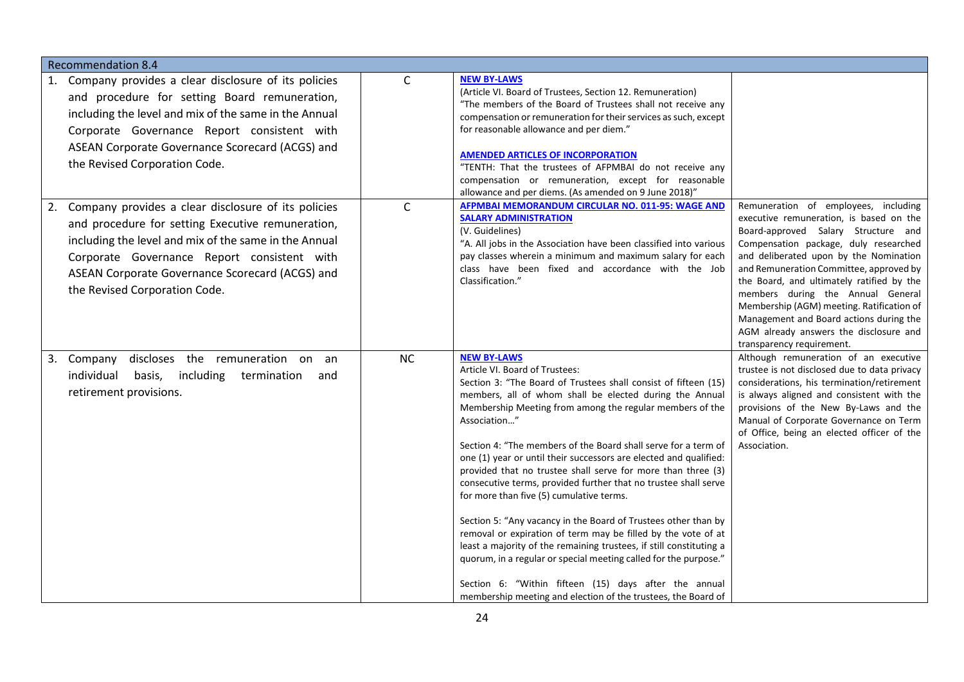| <b>Recommendation 8.4</b>                                                                                                                                                                                                                                                                               |              |                                                                                                                                                                                                                                                                                                                                                                                                                                                                                                                                                                                                                                                                                                                                                                                                                                                                                                                                                                                              |                                                                                                                                                                                                                                                                                                                                                                                                                                                                                                       |  |  |
|---------------------------------------------------------------------------------------------------------------------------------------------------------------------------------------------------------------------------------------------------------------------------------------------------------|--------------|----------------------------------------------------------------------------------------------------------------------------------------------------------------------------------------------------------------------------------------------------------------------------------------------------------------------------------------------------------------------------------------------------------------------------------------------------------------------------------------------------------------------------------------------------------------------------------------------------------------------------------------------------------------------------------------------------------------------------------------------------------------------------------------------------------------------------------------------------------------------------------------------------------------------------------------------------------------------------------------------|-------------------------------------------------------------------------------------------------------------------------------------------------------------------------------------------------------------------------------------------------------------------------------------------------------------------------------------------------------------------------------------------------------------------------------------------------------------------------------------------------------|--|--|
| 1. Company provides a clear disclosure of its policies<br>and procedure for setting Board remuneration,<br>including the level and mix of the same in the Annual<br>Corporate Governance Report consistent with<br>ASEAN Corporate Governance Scorecard (ACGS) and<br>the Revised Corporation Code.     | $\mathsf{C}$ | <b>NEW BY-LAWS</b><br>(Article VI. Board of Trustees, Section 12. Remuneration)<br>"The members of the Board of Trustees shall not receive any<br>compensation or remuneration for their services as such, except<br>for reasonable allowance and per diem."<br><b>AMENDED ARTICLES OF INCORPORATION</b><br>"TENTH: That the trustees of AFPMBAI do not receive any<br>compensation or remuneration, except for reasonable<br>allowance and per diems. (As amended on 9 June 2018)"                                                                                                                                                                                                                                                                                                                                                                                                                                                                                                          |                                                                                                                                                                                                                                                                                                                                                                                                                                                                                                       |  |  |
| 2. Company provides a clear disclosure of its policies<br>and procedure for setting Executive remuneration,<br>including the level and mix of the same in the Annual<br>Corporate Governance Report consistent with<br>ASEAN Corporate Governance Scorecard (ACGS) and<br>the Revised Corporation Code. | $\mathsf{C}$ | AFPMBAI MEMORANDUM CIRCULAR NO. 011-95: WAGE AND<br><b>SALARY ADMINISTRATION</b><br>(V. Guidelines)<br>"A. All jobs in the Association have been classified into various<br>pay classes wherein a minimum and maximum salary for each<br>class have been fixed and accordance with the Job<br>Classification."                                                                                                                                                                                                                                                                                                                                                                                                                                                                                                                                                                                                                                                                               | Remuneration of employees, including<br>executive remuneration, is based on the<br>Board-approved Salary Structure and<br>Compensation package, duly researched<br>and deliberated upon by the Nomination<br>and Remuneration Committee, approved by<br>the Board, and ultimately ratified by the<br>members during the Annual General<br>Membership (AGM) meeting. Ratification of<br>Management and Board actions during the<br>AGM already answers the disclosure and<br>transparency requirement. |  |  |
| 3. Company<br>discloses the remuneration on an<br>individual<br>basis,<br>including<br>termination<br>and<br>retirement provisions.                                                                                                                                                                     | <b>NC</b>    | <b>NEW BY-LAWS</b><br>Article VI. Board of Trustees:<br>Section 3: "The Board of Trustees shall consist of fifteen (15)<br>members, all of whom shall be elected during the Annual<br>Membership Meeting from among the regular members of the<br>Association"<br>Section 4: "The members of the Board shall serve for a term of<br>one (1) year or until their successors are elected and qualified:<br>provided that no trustee shall serve for more than three (3)<br>consecutive terms, provided further that no trustee shall serve<br>for more than five (5) cumulative terms.<br>Section 5: "Any vacancy in the Board of Trustees other than by<br>removal or expiration of term may be filled by the vote of at<br>least a majority of the remaining trustees, if still constituting a<br>quorum, in a regular or special meeting called for the purpose."<br>Section 6: "Within fifteen (15) days after the annual<br>membership meeting and election of the trustees, the Board of | Although remuneration of an executive<br>trustee is not disclosed due to data privacy<br>considerations, his termination/retirement<br>is always aligned and consistent with the<br>provisions of the New By-Laws and the<br>Manual of Corporate Governance on Term<br>of Office, being an elected officer of the<br>Association.                                                                                                                                                                     |  |  |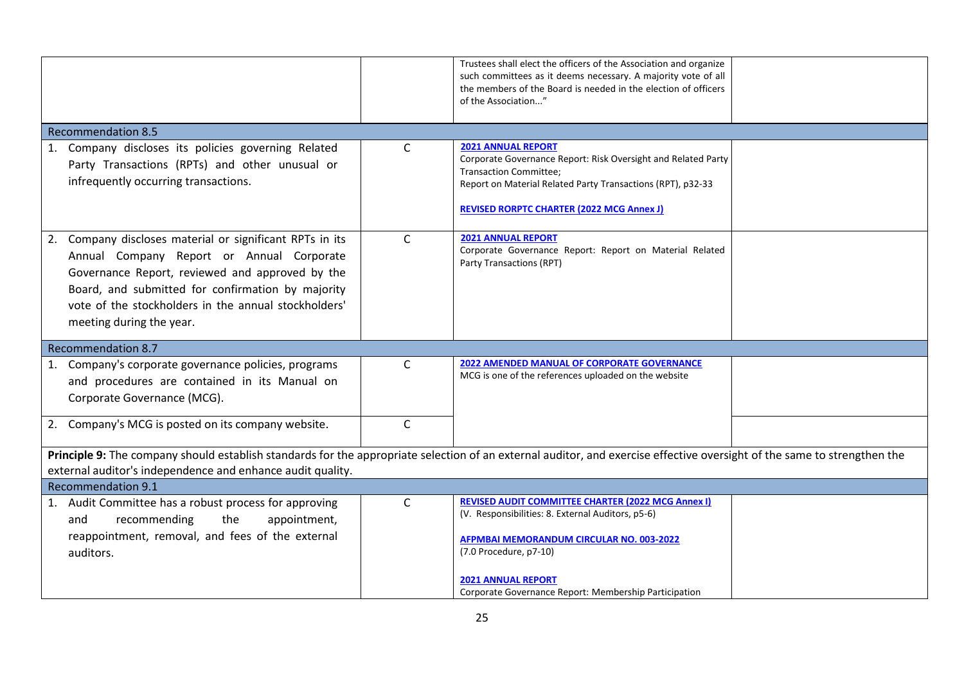|                                                                                                                                                                                                                                                                                                   |              | Trustees shall elect the officers of the Association and organize<br>such committees as it deems necessary. A majority vote of all<br>the members of the Board is needed in the election of officers<br>of the Association"                    |  |
|---------------------------------------------------------------------------------------------------------------------------------------------------------------------------------------------------------------------------------------------------------------------------------------------------|--------------|------------------------------------------------------------------------------------------------------------------------------------------------------------------------------------------------------------------------------------------------|--|
| <b>Recommendation 8.5</b>                                                                                                                                                                                                                                                                         |              |                                                                                                                                                                                                                                                |  |
| 1. Company discloses its policies governing Related<br>Party Transactions (RPTs) and other unusual or<br>infrequently occurring transactions.                                                                                                                                                     | $\mathsf{C}$ | <b>2021 ANNUAL REPORT</b><br>Corporate Governance Report: Risk Oversight and Related Party<br><b>Transaction Committee;</b><br>Report on Material Related Party Transactions (RPT), p32-33<br><b>REVISED RORPTC CHARTER (2022 MCG Annex J)</b> |  |
| 2. Company discloses material or significant RPTs in its<br>Annual Company Report or Annual Corporate<br>Governance Report, reviewed and approved by the<br>Board, and submitted for confirmation by majority<br>vote of the stockholders in the annual stockholders'<br>meeting during the year. | $\mathsf{C}$ | <b>2021 ANNUAL REPORT</b><br>Corporate Governance Report: Report on Material Related<br>Party Transactions (RPT)                                                                                                                               |  |
| <b>Recommendation 8.7</b>                                                                                                                                                                                                                                                                         |              |                                                                                                                                                                                                                                                |  |
| 1. Company's corporate governance policies, programs<br>and procedures are contained in its Manual on<br>Corporate Governance (MCG).                                                                                                                                                              | $\mathsf{C}$ | <b>2022 AMENDED MANUAL OF CORPORATE GOVERNANCE</b><br>MCG is one of the references uploaded on the website                                                                                                                                     |  |
| 2. Company's MCG is posted on its company website.                                                                                                                                                                                                                                                | $\mathsf{C}$ |                                                                                                                                                                                                                                                |  |
| Principle 9: The company should establish standards for the appropriate selection of an external auditor, and exercise effective oversight of the same to strengthen the<br>external auditor's independence and enhance audit quality.                                                            |              |                                                                                                                                                                                                                                                |  |
| <b>Recommendation 9.1</b>                                                                                                                                                                                                                                                                         |              |                                                                                                                                                                                                                                                |  |
| 1. Audit Committee has a robust process for approving<br>the<br>and<br>recommending<br>appointment,<br>reappointment, removal, and fees of the external<br>auditors.                                                                                                                              | $\mathsf{C}$ | <b>REVISED AUDIT COMMITTEE CHARTER (2022 MCG Annex I)</b><br>(V. Responsibilities: 8. External Auditors, p5-6)<br><b>AFPMBAI MEMORANDUM CIRCULAR NO. 003-2022</b><br>(7.0 Procedure, p7-10)                                                    |  |
|                                                                                                                                                                                                                                                                                                   |              | <b>2021 ANNUAL REPORT</b><br>Corporate Governance Report: Membership Participation                                                                                                                                                             |  |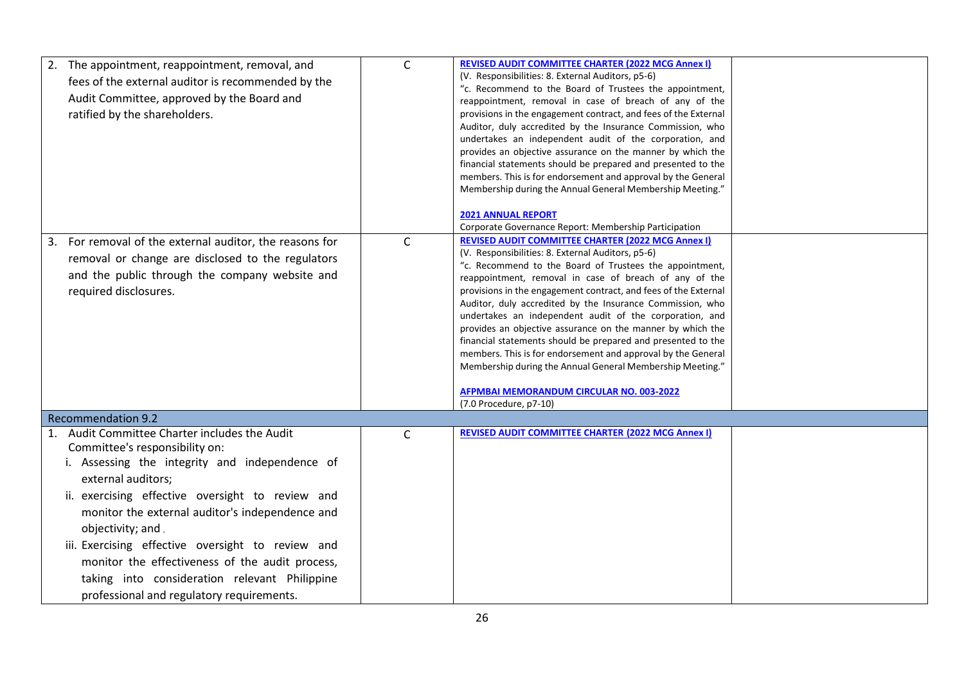| 2. The appointment, reappointment, removal, and<br>fees of the external auditor is recommended by the<br>Audit Committee, approved by the Board and<br>ratified by the shareholders.                                                                                                                                                                                                                                                                                                         | $\mathsf{C}$ | <b>REVISED AUDIT COMMITTEE CHARTER (2022 MCG Annex I)</b><br>(V. Responsibilities: 8. External Auditors, p5-6)<br>"c. Recommend to the Board of Trustees the appointment,<br>reappointment, removal in case of breach of any of the<br>provisions in the engagement contract, and fees of the External<br>Auditor, duly accredited by the Insurance Commission, who<br>undertakes an independent audit of the corporation, and<br>provides an objective assurance on the manner by which the<br>financial statements should be prepared and presented to the<br>members. This is for endorsement and approval by the General<br>Membership during the Annual General Membership Meeting."<br><b>2021 ANNUAL REPORT</b><br>Corporate Governance Report: Membership Participation |  |
|----------------------------------------------------------------------------------------------------------------------------------------------------------------------------------------------------------------------------------------------------------------------------------------------------------------------------------------------------------------------------------------------------------------------------------------------------------------------------------------------|--------------|---------------------------------------------------------------------------------------------------------------------------------------------------------------------------------------------------------------------------------------------------------------------------------------------------------------------------------------------------------------------------------------------------------------------------------------------------------------------------------------------------------------------------------------------------------------------------------------------------------------------------------------------------------------------------------------------------------------------------------------------------------------------------------|--|
| For removal of the external auditor, the reasons for<br>3.<br>removal or change are disclosed to the regulators<br>and the public through the company website and<br>required disclosures.                                                                                                                                                                                                                                                                                                   | $\mathsf{C}$ | <b>REVISED AUDIT COMMITTEE CHARTER (2022 MCG Annex I)</b><br>(V. Responsibilities: 8. External Auditors, p5-6)<br>"c. Recommend to the Board of Trustees the appointment,<br>reappointment, removal in case of breach of any of the<br>provisions in the engagement contract, and fees of the External<br>Auditor, duly accredited by the Insurance Commission, who<br>undertakes an independent audit of the corporation, and<br>provides an objective assurance on the manner by which the<br>financial statements should be prepared and presented to the<br>members. This is for endorsement and approval by the General<br>Membership during the Annual General Membership Meeting."<br><b>AFPMBAI MEMORANDUM CIRCULAR NO. 003-2022</b><br>(7.0 Procedure, p7-10)          |  |
| <b>Recommendation 9.2</b>                                                                                                                                                                                                                                                                                                                                                                                                                                                                    |              |                                                                                                                                                                                                                                                                                                                                                                                                                                                                                                                                                                                                                                                                                                                                                                                 |  |
| Audit Committee Charter includes the Audit<br>1.<br>Committee's responsibility on:<br>i. Assessing the integrity and independence of<br>external auditors;<br>ii. exercising effective oversight to review and<br>monitor the external auditor's independence and<br>objectivity; and.<br>iii. Exercising effective oversight to review and<br>monitor the effectiveness of the audit process,<br>taking into consideration relevant Philippine<br>professional and regulatory requirements. | $\mathsf{C}$ | <b>REVISED AUDIT COMMITTEE CHARTER (2022 MCG Annex I)</b>                                                                                                                                                                                                                                                                                                                                                                                                                                                                                                                                                                                                                                                                                                                       |  |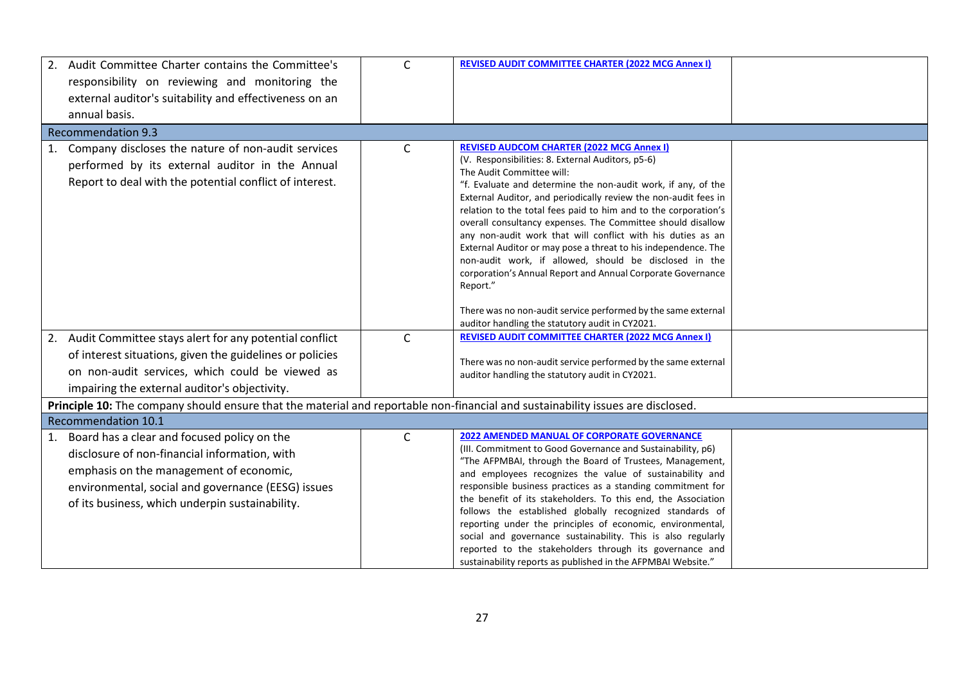|    | 2. Audit Committee Charter contains the Committee's<br>responsibility on reviewing and monitoring the<br>external auditor's suitability and effectiveness on an<br>annual basis.                                                                    | C            | <b>REVISED AUDIT COMMITTEE CHARTER (2022 MCG Annex I)</b>                                                                                                                                                                                                                                                                                                                                                                                                                                                                                                                                                                                                                                                                                                                                          |  |
|----|-----------------------------------------------------------------------------------------------------------------------------------------------------------------------------------------------------------------------------------------------------|--------------|----------------------------------------------------------------------------------------------------------------------------------------------------------------------------------------------------------------------------------------------------------------------------------------------------------------------------------------------------------------------------------------------------------------------------------------------------------------------------------------------------------------------------------------------------------------------------------------------------------------------------------------------------------------------------------------------------------------------------------------------------------------------------------------------------|--|
|    | <b>Recommendation 9.3</b>                                                                                                                                                                                                                           |              |                                                                                                                                                                                                                                                                                                                                                                                                                                                                                                                                                                                                                                                                                                                                                                                                    |  |
|    | 1. Company discloses the nature of non-audit services<br>performed by its external auditor in the Annual<br>Report to deal with the potential conflict of interest.                                                                                 | $\mathsf{C}$ | <b>REVISED AUDCOM CHARTER (2022 MCG Annex I)</b><br>(V. Responsibilities: 8. External Auditors, p5-6)<br>The Audit Committee will:<br>"f. Evaluate and determine the non-audit work, if any, of the<br>External Auditor, and periodically review the non-audit fees in<br>relation to the total fees paid to him and to the corporation's<br>overall consultancy expenses. The Committee should disallow<br>any non-audit work that will conflict with his duties as an<br>External Auditor or may pose a threat to his independence. The<br>non-audit work, if allowed, should be disclosed in the<br>corporation's Annual Report and Annual Corporate Governance<br>Report."<br>There was no non-audit service performed by the same external<br>auditor handling the statutory audit in CY2021. |  |
| 2. | Audit Committee stays alert for any potential conflict<br>of interest situations, given the guidelines or policies<br>on non-audit services, which could be viewed as<br>impairing the external auditor's objectivity.                              | $\mathsf{C}$ | <b>REVISED AUDIT COMMITTEE CHARTER (2022 MCG Annex I)</b><br>There was no non-audit service performed by the same external<br>auditor handling the statutory audit in CY2021.                                                                                                                                                                                                                                                                                                                                                                                                                                                                                                                                                                                                                      |  |
|    | Principle 10: The company should ensure that the material and reportable non-financial and sustainability issues are disclosed.                                                                                                                     |              |                                                                                                                                                                                                                                                                                                                                                                                                                                                                                                                                                                                                                                                                                                                                                                                                    |  |
|    | <b>Recommendation 10.1</b>                                                                                                                                                                                                                          |              |                                                                                                                                                                                                                                                                                                                                                                                                                                                                                                                                                                                                                                                                                                                                                                                                    |  |
|    | 1. Board has a clear and focused policy on the<br>disclosure of non-financial information, with<br>emphasis on the management of economic,<br>environmental, social and governance (EESG) issues<br>of its business, which underpin sustainability. | $\mathsf{C}$ | <b>2022 AMENDED MANUAL OF CORPORATE GOVERNANCE</b><br>(III. Commitment to Good Governance and Sustainability, p6)<br>"The AFPMBAI, through the Board of Trustees, Management,<br>and employees recognizes the value of sustainability and<br>responsible business practices as a standing commitment for<br>the benefit of its stakeholders. To this end, the Association<br>follows the established globally recognized standards of<br>reporting under the principles of economic, environmental,<br>social and governance sustainability. This is also regularly<br>reported to the stakeholders through its governance and<br>sustainability reports as published in the AFPMBAI Website."                                                                                                     |  |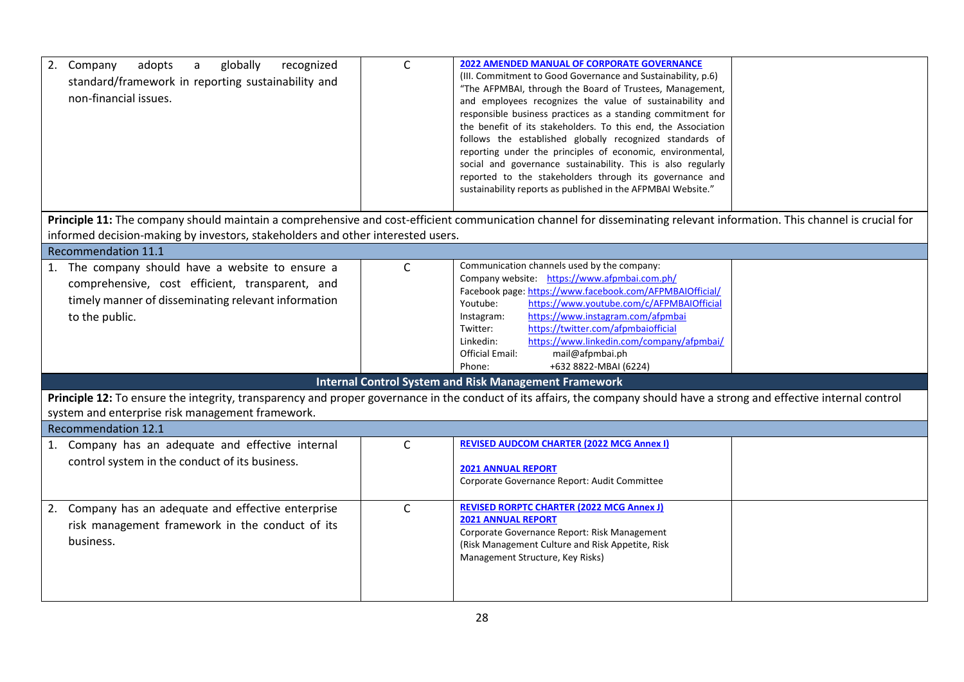| 2. Company<br>adopts<br>globally<br>recognized<br>a<br>standard/framework in reporting sustainability and<br>non-financial issues.                                                                                           | $\mathsf C$  | 2022 AMENDED MANUAL OF CORPORATE GOVERNANCE<br>(III. Commitment to Good Governance and Sustainability, p.6)<br>"The AFPMBAI, through the Board of Trustees, Management,<br>and employees recognizes the value of sustainability and<br>responsible business practices as a standing commitment for<br>the benefit of its stakeholders. To this end, the Association<br>follows the established globally recognized standards of<br>reporting under the principles of economic, environmental,<br>social and governance sustainability. This is also regularly<br>reported to the stakeholders through its governance and<br>sustainability reports as published in the AFPMBAI Website." |  |  |
|------------------------------------------------------------------------------------------------------------------------------------------------------------------------------------------------------------------------------|--------------|------------------------------------------------------------------------------------------------------------------------------------------------------------------------------------------------------------------------------------------------------------------------------------------------------------------------------------------------------------------------------------------------------------------------------------------------------------------------------------------------------------------------------------------------------------------------------------------------------------------------------------------------------------------------------------------|--|--|
|                                                                                                                                                                                                                              |              |                                                                                                                                                                                                                                                                                                                                                                                                                                                                                                                                                                                                                                                                                          |  |  |
| informed decision-making by investors, stakeholders and other interested users.                                                                                                                                              |              | Principle 11: The company should maintain a comprehensive and cost-efficient communication channel for disseminating relevant information. This channel is crucial for                                                                                                                                                                                                                                                                                                                                                                                                                                                                                                                   |  |  |
| Recommendation 11.1                                                                                                                                                                                                          |              |                                                                                                                                                                                                                                                                                                                                                                                                                                                                                                                                                                                                                                                                                          |  |  |
| 1. The company should have a website to ensure a<br>comprehensive, cost efficient, transparent, and<br>timely manner of disseminating relevant information<br>to the public.                                                 | $\mathsf{C}$ | Communication channels used by the company:<br>Company website: https://www.afpmbai.com.ph/<br>Facebook page: https://www.facebook.com/AFPMBAIOfficial/<br>https://www.youtube.com/c/AFPMBAIOfficial<br>Youtube:<br>https://www.instagram.com/afpmbai<br>Instagram:<br>https://twitter.com/afpmbaiofficial<br>Twitter:<br>https://www.linkedin.com/company/afpmbai/<br>Linkedin:<br><b>Official Email:</b><br>mail@afpmbai.ph<br>+632 8822-MBAI (6224)<br>Phone:                                                                                                                                                                                                                         |  |  |
|                                                                                                                                                                                                                              |              | <b>Internal Control System and Risk Management Framework</b>                                                                                                                                                                                                                                                                                                                                                                                                                                                                                                                                                                                                                             |  |  |
| Principle 12: To ensure the integrity, transparency and proper governance in the conduct of its affairs, the company should have a strong and effective internal control<br>system and enterprise risk management framework. |              |                                                                                                                                                                                                                                                                                                                                                                                                                                                                                                                                                                                                                                                                                          |  |  |
| <b>Recommendation 12.1</b>                                                                                                                                                                                                   |              | <b>REVISED AUDCOM CHARTER (2022 MCG Annex I)</b>                                                                                                                                                                                                                                                                                                                                                                                                                                                                                                                                                                                                                                         |  |  |
| 1. Company has an adequate and effective internal<br>control system in the conduct of its business.                                                                                                                          | C            | <b>2021 ANNUAL REPORT</b><br>Corporate Governance Report: Audit Committee                                                                                                                                                                                                                                                                                                                                                                                                                                                                                                                                                                                                                |  |  |
| 2. Company has an adequate and effective enterprise<br>risk management framework in the conduct of its<br>business.                                                                                                          | $\mathsf{C}$ | <b>REVISED RORPTC CHARTER (2022 MCG Annex J)</b><br><b>2021 ANNUAL REPORT</b><br>Corporate Governance Report: Risk Management<br>(Risk Management Culture and Risk Appetite, Risk<br>Management Structure, Key Risks)                                                                                                                                                                                                                                                                                                                                                                                                                                                                    |  |  |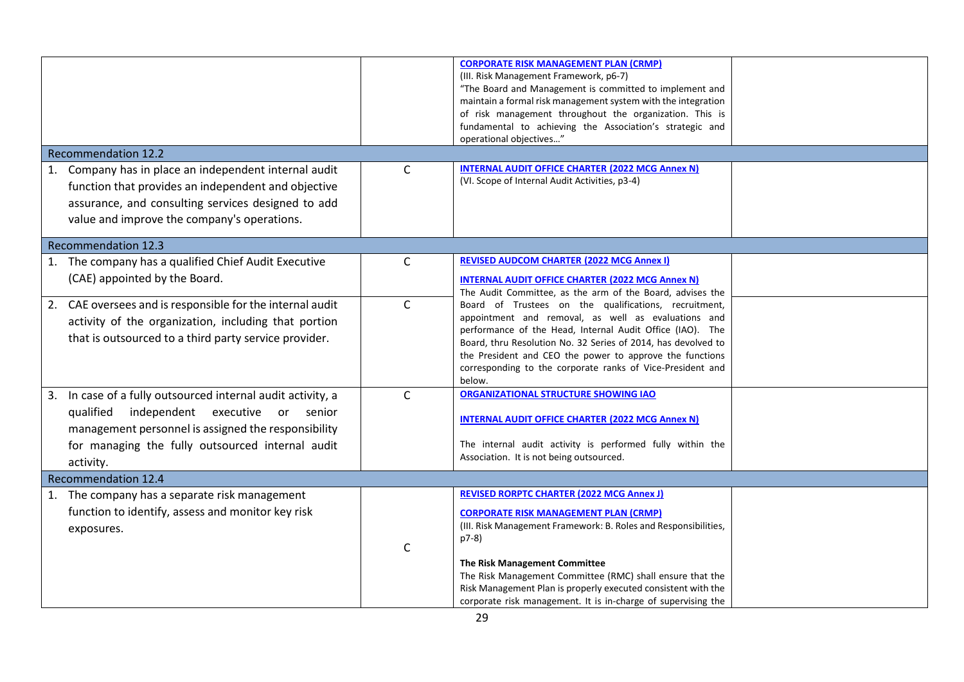|                                                                                                                                                                                                                                           |              | <b>CORPORATE RISK MANAGEMENT PLAN (CRMP)</b><br>(III. Risk Management Framework, p6-7)<br>"The Board and Management is committed to implement and<br>maintain a formal risk management system with the integration<br>of risk management throughout the organization. This is<br>fundamental to achieving the Association's strategic and<br>operational objectives"                                         |  |
|-------------------------------------------------------------------------------------------------------------------------------------------------------------------------------------------------------------------------------------------|--------------|--------------------------------------------------------------------------------------------------------------------------------------------------------------------------------------------------------------------------------------------------------------------------------------------------------------------------------------------------------------------------------------------------------------|--|
| <b>Recommendation 12.2</b>                                                                                                                                                                                                                |              |                                                                                                                                                                                                                                                                                                                                                                                                              |  |
| 1. Company has in place an independent internal audit<br>function that provides an independent and objective<br>assurance, and consulting services designed to add<br>value and improve the company's operations.                         | $\mathsf{C}$ | <b>INTERNAL AUDIT OFFICE CHARTER (2022 MCG Annex N)</b><br>(VI. Scope of Internal Audit Activities, p3-4)                                                                                                                                                                                                                                                                                                    |  |
| <b>Recommendation 12.3</b>                                                                                                                                                                                                                |              |                                                                                                                                                                                                                                                                                                                                                                                                              |  |
| 1. The company has a qualified Chief Audit Executive<br>(CAE) appointed by the Board.                                                                                                                                                     | $\mathsf{C}$ | <b>REVISED AUDCOM CHARTER (2022 MCG Annex I)</b><br><b>INTERNAL AUDIT OFFICE CHARTER (2022 MCG Annex N)</b><br>The Audit Committee, as the arm of the Board, advises the                                                                                                                                                                                                                                     |  |
| 2. CAE oversees and is responsible for the internal audit<br>activity of the organization, including that portion<br>that is outsourced to a third party service provider.                                                                | $\mathsf{C}$ | Board of Trustees on the qualifications, recruitment,<br>appointment and removal, as well as evaluations and<br>performance of the Head, Internal Audit Office (IAO). The<br>Board, thru Resolution No. 32 Series of 2014, has devolved to<br>the President and CEO the power to approve the functions<br>corresponding to the corporate ranks of Vice-President and<br>below.                               |  |
| 3. In case of a fully outsourced internal audit activity, a<br>qualified<br>independent<br>executive or<br>senior<br>management personnel is assigned the responsibility<br>for managing the fully outsourced internal audit<br>activity. | $\mathsf{C}$ | ORGANIZATIONAL STRUCTURE SHOWING IAO<br><b>INTERNAL AUDIT OFFICE CHARTER (2022 MCG Annex N)</b><br>The internal audit activity is performed fully within the<br>Association. It is not being outsourced.                                                                                                                                                                                                     |  |
| <b>Recommendation 12.4</b>                                                                                                                                                                                                                |              |                                                                                                                                                                                                                                                                                                                                                                                                              |  |
| 1. The company has a separate risk management<br>function to identify, assess and monitor key risk<br>exposures.                                                                                                                          | C            | <b>REVISED RORPTC CHARTER (2022 MCG Annex J)</b><br><b>CORPORATE RISK MANAGEMENT PLAN (CRMP)</b><br>(III. Risk Management Framework: B. Roles and Responsibilities,<br>p7-8)<br>The Risk Management Committee<br>The Risk Management Committee (RMC) shall ensure that the<br>Risk Management Plan is properly executed consistent with the<br>corporate risk management. It is in-charge of supervising the |  |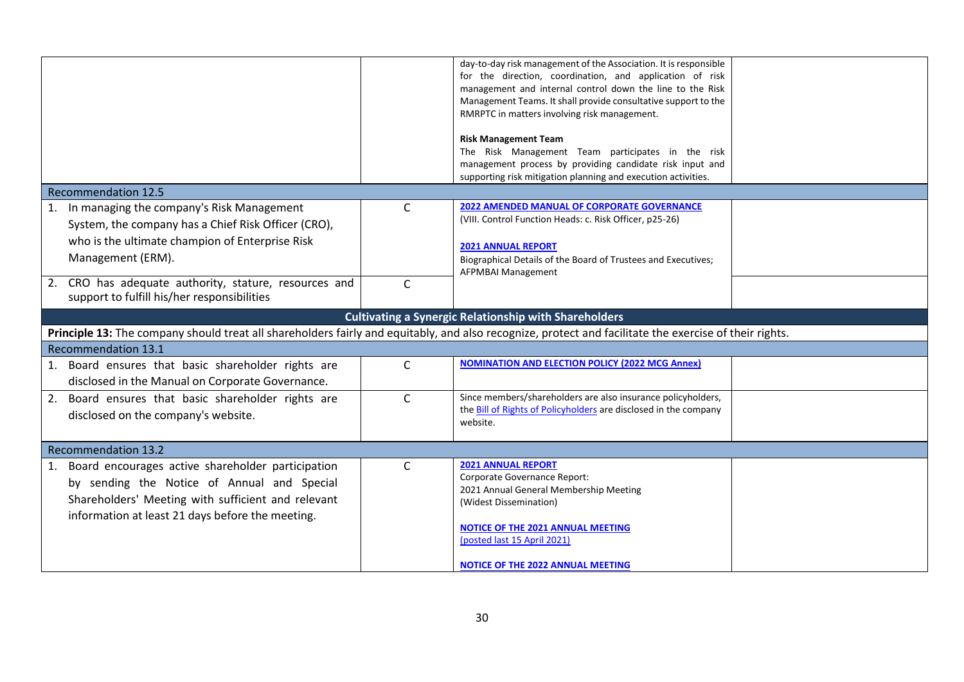|                                                                                                                                                        |              | day-to-day risk management of the Association. It is responsible |  |  |
|--------------------------------------------------------------------------------------------------------------------------------------------------------|--------------|------------------------------------------------------------------|--|--|
|                                                                                                                                                        |              | for the direction, coordination, and application of risk         |  |  |
|                                                                                                                                                        |              | management and internal control down the line to the Risk        |  |  |
|                                                                                                                                                        |              | Management Teams. It shall provide consultative support to the   |  |  |
|                                                                                                                                                        |              | RMRPTC in matters involving risk management.                     |  |  |
|                                                                                                                                                        |              | <b>Risk Management Team</b>                                      |  |  |
|                                                                                                                                                        |              | The Risk Management Team participates in the risk                |  |  |
|                                                                                                                                                        |              | management process by providing candidate risk input and         |  |  |
|                                                                                                                                                        |              | supporting risk mitigation planning and execution activities.    |  |  |
| <b>Recommendation 12.5</b>                                                                                                                             |              |                                                                  |  |  |
| 1. In managing the company's Risk Management                                                                                                           | C            | <b>2022 AMENDED MANUAL OF CORPORATE GOVERNANCE</b>               |  |  |
|                                                                                                                                                        |              | (VIII. Control Function Heads: c. Risk Officer, p25-26)          |  |  |
| System, the company has a Chief Risk Officer (CRO),                                                                                                    |              |                                                                  |  |  |
| who is the ultimate champion of Enterprise Risk                                                                                                        |              | <b>2021 ANNUAL REPORT</b>                                        |  |  |
| Management (ERM).                                                                                                                                      |              | Biographical Details of the Board of Trustees and Executives;    |  |  |
|                                                                                                                                                        |              | AFPMBAI Management                                               |  |  |
| 2. CRO has adequate authority, stature, resources and                                                                                                  | $\mathsf{C}$ |                                                                  |  |  |
| support to fulfill his/her responsibilities                                                                                                            |              |                                                                  |  |  |
|                                                                                                                                                        |              | <b>Cultivating a Synergic Relationship with Shareholders</b>     |  |  |
| Principle 13: The company should treat all shareholders fairly and equitably, and also recognize, protect and facilitate the exercise of their rights. |              |                                                                  |  |  |
| <b>Recommendation 13.1</b>                                                                                                                             |              |                                                                  |  |  |
|                                                                                                                                                        |              | <b>NOMINATION AND ELECTION POLICY (2022 MCG Annex)</b>           |  |  |
| 1. Board ensures that basic shareholder rights are                                                                                                     | $\mathsf{C}$ |                                                                  |  |  |
| disclosed in the Manual on Corporate Governance.                                                                                                       |              |                                                                  |  |  |
| 2. Board ensures that basic shareholder rights are                                                                                                     | $\mathsf{C}$ | Since members/shareholders are also insurance policyholders,     |  |  |
| disclosed on the company's website.                                                                                                                    |              | the Bill of Rights of Policyholders are disclosed in the company |  |  |
|                                                                                                                                                        |              | website.                                                         |  |  |
|                                                                                                                                                        |              |                                                                  |  |  |
| <b>Recommendation 13.2</b>                                                                                                                             |              |                                                                  |  |  |
| 1. Board encourages active shareholder participation                                                                                                   | $\mathsf C$  | <b>2021 ANNUAL REPORT</b><br>Corporate Governance Report:        |  |  |
| by sending the Notice of Annual and Special                                                                                                            |              | 2021 Annual General Membership Meeting                           |  |  |
| Shareholders' Meeting with sufficient and relevant                                                                                                     |              | (Widest Dissemination)                                           |  |  |
| information at least 21 days before the meeting.                                                                                                       |              |                                                                  |  |  |
|                                                                                                                                                        |              | <b>NOTICE OF THE 2021 ANNUAL MEETING</b>                         |  |  |
|                                                                                                                                                        |              | (posted last 15 April 2021)                                      |  |  |
|                                                                                                                                                        |              |                                                                  |  |  |
|                                                                                                                                                        |              | <b>NOTICE OF THE 2022 ANNUAL MEETING</b>                         |  |  |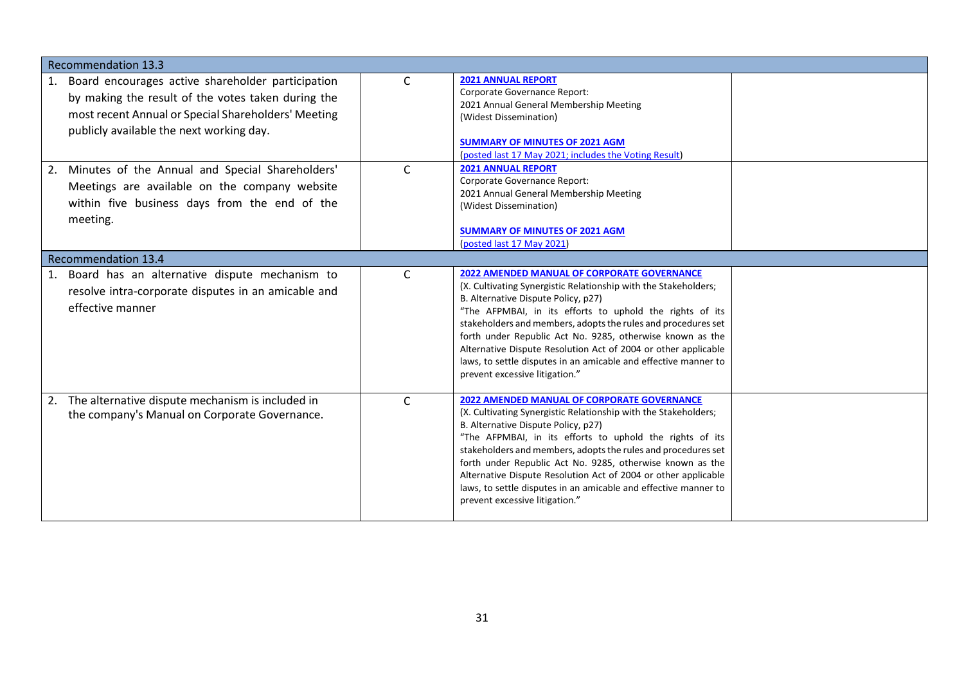| <b>Recommendation 13.3</b>                                                                                                                                                                                       |              |                                                                                                                                                                                                                                                                                                                                                                                                                                                                                                                               |  |
|------------------------------------------------------------------------------------------------------------------------------------------------------------------------------------------------------------------|--------------|-------------------------------------------------------------------------------------------------------------------------------------------------------------------------------------------------------------------------------------------------------------------------------------------------------------------------------------------------------------------------------------------------------------------------------------------------------------------------------------------------------------------------------|--|
| Board encourages active shareholder participation<br>1.<br>by making the result of the votes taken during the<br>most recent Annual or Special Shareholders' Meeting<br>publicly available the next working day. | C            | <b>2021 ANNUAL REPORT</b><br>Corporate Governance Report:<br>2021 Annual General Membership Meeting<br>(Widest Dissemination)<br><b>SUMMARY OF MINUTES OF 2021 AGM</b><br>(posted last 17 May 2021; includes the Voting Result)                                                                                                                                                                                                                                                                                               |  |
| 2. Minutes of the Annual and Special Shareholders'<br>Meetings are available on the company website<br>within five business days from the end of the<br>meeting.                                                 | C            | <b>2021 ANNUAL REPORT</b><br>Corporate Governance Report:<br>2021 Annual General Membership Meeting<br>(Widest Dissemination)<br><b>SUMMARY OF MINUTES OF 2021 AGM</b><br>(posted last 17 May 2021)                                                                                                                                                                                                                                                                                                                           |  |
| <b>Recommendation 13.4</b>                                                                                                                                                                                       |              |                                                                                                                                                                                                                                                                                                                                                                                                                                                                                                                               |  |
| Board has an alternative dispute mechanism to<br>1.<br>resolve intra-corporate disputes in an amicable and<br>effective manner                                                                                   | $\mathsf{C}$ | <b>2022 AMENDED MANUAL OF CORPORATE GOVERNANCE</b><br>(X. Cultivating Synergistic Relationship with the Stakeholders;<br>B. Alternative Dispute Policy, p27)<br>"The AFPMBAI, in its efforts to uphold the rights of its<br>stakeholders and members, adopts the rules and procedures set<br>forth under Republic Act No. 9285, otherwise known as the<br>Alternative Dispute Resolution Act of 2004 or other applicable<br>laws, to settle disputes in an amicable and effective manner to<br>prevent excessive litigation." |  |
| 2. The alternative dispute mechanism is included in<br>the company's Manual on Corporate Governance.                                                                                                             | $\mathsf{C}$ | <b>2022 AMENDED MANUAL OF CORPORATE GOVERNANCE</b><br>(X. Cultivating Synergistic Relationship with the Stakeholders;<br>B. Alternative Dispute Policy, p27)<br>"The AFPMBAI, in its efforts to uphold the rights of its<br>stakeholders and members, adopts the rules and procedures set<br>forth under Republic Act No. 9285, otherwise known as the<br>Alternative Dispute Resolution Act of 2004 or other applicable<br>laws, to settle disputes in an amicable and effective manner to<br>prevent excessive litigation." |  |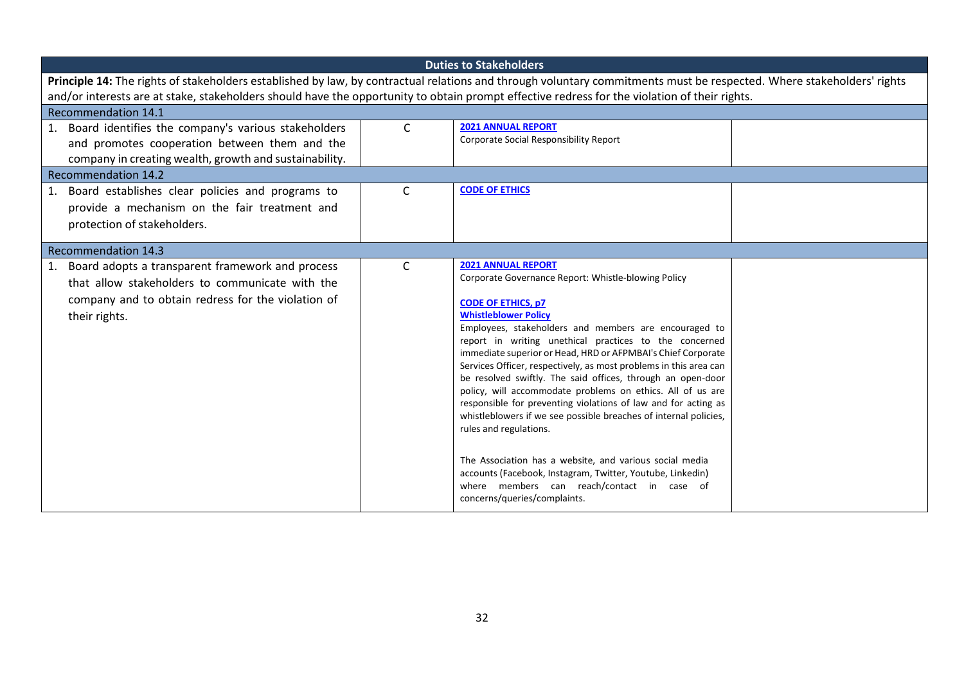|                                                                                                                                                                                                 | <b>Duties to Stakeholders</b> |                                                                                                                                                                                                                                                                                                                                                                                                                                                                                                                                                                                                                                                                                                   |  |  |  |
|-------------------------------------------------------------------------------------------------------------------------------------------------------------------------------------------------|-------------------------------|---------------------------------------------------------------------------------------------------------------------------------------------------------------------------------------------------------------------------------------------------------------------------------------------------------------------------------------------------------------------------------------------------------------------------------------------------------------------------------------------------------------------------------------------------------------------------------------------------------------------------------------------------------------------------------------------------|--|--|--|
| Principle 14: The rights of stakeholders established by law, by contractual relations and through voluntary commitments must be respected. Where stakeholders' rights                           |                               |                                                                                                                                                                                                                                                                                                                                                                                                                                                                                                                                                                                                                                                                                                   |  |  |  |
| and/or interests are at stake, stakeholders should have the opportunity to obtain prompt effective redress for the violation of their rights.                                                   |                               |                                                                                                                                                                                                                                                                                                                                                                                                                                                                                                                                                                                                                                                                                                   |  |  |  |
| <b>Recommendation 14.1</b>                                                                                                                                                                      |                               |                                                                                                                                                                                                                                                                                                                                                                                                                                                                                                                                                                                                                                                                                                   |  |  |  |
| 1. Board identifies the company's various stakeholders<br>and promotes cooperation between them and the<br>company in creating wealth, growth and sustainability.<br><b>Recommendation 14.2</b> | $\mathsf{C}$                  | <b>2021 ANNUAL REPORT</b><br>Corporate Social Responsibility Report                                                                                                                                                                                                                                                                                                                                                                                                                                                                                                                                                                                                                               |  |  |  |
| 1. Board establishes clear policies and programs to                                                                                                                                             | C                             | <b>CODE OF ETHICS</b>                                                                                                                                                                                                                                                                                                                                                                                                                                                                                                                                                                                                                                                                             |  |  |  |
| provide a mechanism on the fair treatment and<br>protection of stakeholders.                                                                                                                    |                               |                                                                                                                                                                                                                                                                                                                                                                                                                                                                                                                                                                                                                                                                                                   |  |  |  |
| <b>Recommendation 14.3</b>                                                                                                                                                                      |                               |                                                                                                                                                                                                                                                                                                                                                                                                                                                                                                                                                                                                                                                                                                   |  |  |  |
| 1. Board adopts a transparent framework and process<br>that allow stakeholders to communicate with the<br>company and to obtain redress for the violation of<br>their rights.                   | C                             | <b>2021 ANNUAL REPORT</b><br>Corporate Governance Report: Whistle-blowing Policy<br><b>CODE OF ETHICS, p7</b><br><b>Whistleblower Policy</b><br>Employees, stakeholders and members are encouraged to<br>report in writing unethical practices to the concerned<br>immediate superior or Head, HRD or AFPMBAI's Chief Corporate<br>Services Officer, respectively, as most problems in this area can<br>be resolved swiftly. The said offices, through an open-door<br>policy, will accommodate problems on ethics. All of us are<br>responsible for preventing violations of law and for acting as<br>whistleblowers if we see possible breaches of internal policies,<br>rules and regulations. |  |  |  |
|                                                                                                                                                                                                 |                               | The Association has a website, and various social media<br>accounts (Facebook, Instagram, Twitter, Youtube, Linkedin)<br>where members can reach/contact in case of<br>concerns/queries/complaints.                                                                                                                                                                                                                                                                                                                                                                                                                                                                                               |  |  |  |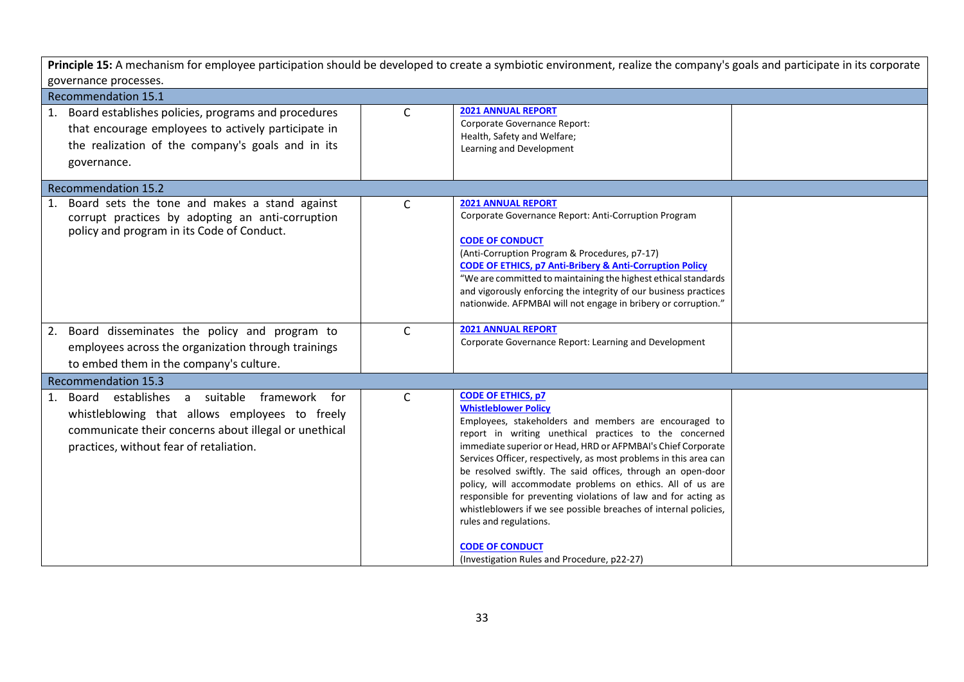| Principle 15: A mechanism for employee participation should be developed to create a symbiotic environment, realize the company's goals and participate in its corporate                               |              |                                                                                                                                                                                                                                                                                                                                                                                                                                                                                                                                                                                                                                                                                        |  |  |  |
|--------------------------------------------------------------------------------------------------------------------------------------------------------------------------------------------------------|--------------|----------------------------------------------------------------------------------------------------------------------------------------------------------------------------------------------------------------------------------------------------------------------------------------------------------------------------------------------------------------------------------------------------------------------------------------------------------------------------------------------------------------------------------------------------------------------------------------------------------------------------------------------------------------------------------------|--|--|--|
| governance processes.                                                                                                                                                                                  |              |                                                                                                                                                                                                                                                                                                                                                                                                                                                                                                                                                                                                                                                                                        |  |  |  |
| <b>Recommendation 15.1</b>                                                                                                                                                                             |              |                                                                                                                                                                                                                                                                                                                                                                                                                                                                                                                                                                                                                                                                                        |  |  |  |
| Board establishes policies, programs and procedures<br>1.<br>that encourage employees to actively participate in<br>the realization of the company's goals and in its<br>governance.                   | $\mathsf{C}$ | <b>2021 ANNUAL REPORT</b><br>Corporate Governance Report:<br>Health, Safety and Welfare;<br>Learning and Development                                                                                                                                                                                                                                                                                                                                                                                                                                                                                                                                                                   |  |  |  |
| <b>Recommendation 15.2</b>                                                                                                                                                                             |              |                                                                                                                                                                                                                                                                                                                                                                                                                                                                                                                                                                                                                                                                                        |  |  |  |
| Board sets the tone and makes a stand against<br>1.<br>corrupt practices by adopting an anti-corruption<br>policy and program in its Code of Conduct.                                                  | $\mathsf{C}$ | <b>2021 ANNUAL REPORT</b><br>Corporate Governance Report: Anti-Corruption Program<br><b>CODE OF CONDUCT</b><br>(Anti-Corruption Program & Procedures, p7-17)<br><b>CODE OF ETHICS, p7 Anti-Bribery &amp; Anti-Corruption Policy</b><br>"We are committed to maintaining the highest ethical standards<br>and vigorously enforcing the integrity of our business practices<br>nationwide. AFPMBAI will not engage in bribery or corruption."                                                                                                                                                                                                                                            |  |  |  |
| Board disseminates the policy and program to<br>2.<br>employees across the organization through trainings<br>to embed them in the company's culture.                                                   | $\mathsf{C}$ | <b>2021 ANNUAL REPORT</b><br>Corporate Governance Report: Learning and Development                                                                                                                                                                                                                                                                                                                                                                                                                                                                                                                                                                                                     |  |  |  |
| <b>Recommendation 15.3</b>                                                                                                                                                                             |              |                                                                                                                                                                                                                                                                                                                                                                                                                                                                                                                                                                                                                                                                                        |  |  |  |
| Board establishes a suitable framework for<br>1.<br>whistleblowing that allows employees to freely<br>communicate their concerns about illegal or unethical<br>practices, without fear of retaliation. | $\mathsf{C}$ | <b>CODE OF ETHICS, p7</b><br><b>Whistleblower Policy</b><br>Employees, stakeholders and members are encouraged to<br>report in writing unethical practices to the concerned<br>immediate superior or Head, HRD or AFPMBAI's Chief Corporate<br>Services Officer, respectively, as most problems in this area can<br>be resolved swiftly. The said offices, through an open-door<br>policy, will accommodate problems on ethics. All of us are<br>responsible for preventing violations of law and for acting as<br>whistleblowers if we see possible breaches of internal policies,<br>rules and regulations.<br><b>CODE OF CONDUCT</b><br>(Investigation Rules and Procedure, p22-27) |  |  |  |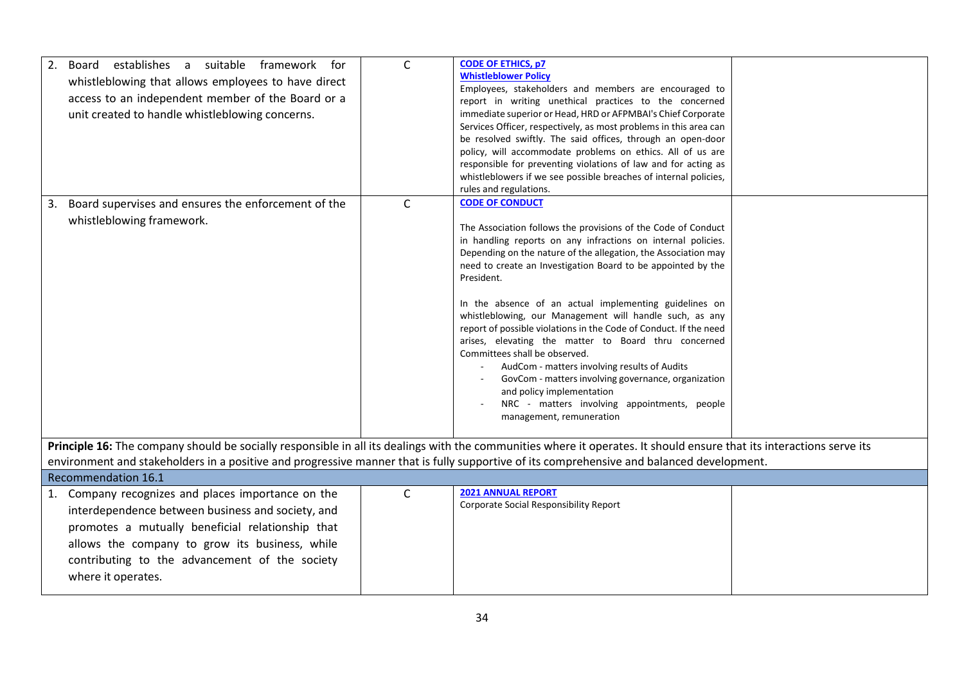| establishes a suitable framework for<br>2.<br>Board<br>whistleblowing that allows employees to have direct<br>access to an independent member of the Board or a<br>unit created to handle whistleblowing concerns.                                                                                                 | $\mathsf{C}$ | <b>CODE OF ETHICS, p7</b><br><b>Whistleblower Policy</b><br>Employees, stakeholders and members are encouraged to<br>report in writing unethical practices to the concerned<br>immediate superior or Head, HRD or AFPMBAI's Chief Corporate<br>Services Officer, respectively, as most problems in this area can<br>be resolved swiftly. The said offices, through an open-door<br>policy, will accommodate problems on ethics. All of us are<br>responsible for preventing violations of law and for acting as<br>whistleblowers if we see possible breaches of internal policies,<br>rules and regulations.                                                                                                                                                                                              |  |
|--------------------------------------------------------------------------------------------------------------------------------------------------------------------------------------------------------------------------------------------------------------------------------------------------------------------|--------------|------------------------------------------------------------------------------------------------------------------------------------------------------------------------------------------------------------------------------------------------------------------------------------------------------------------------------------------------------------------------------------------------------------------------------------------------------------------------------------------------------------------------------------------------------------------------------------------------------------------------------------------------------------------------------------------------------------------------------------------------------------------------------------------------------------|--|
| Board supervises and ensures the enforcement of the<br>3.<br>whistleblowing framework.                                                                                                                                                                                                                             | $\mathsf{C}$ | <b>CODE OF CONDUCT</b><br>The Association follows the provisions of the Code of Conduct<br>in handling reports on any infractions on internal policies.<br>Depending on the nature of the allegation, the Association may<br>need to create an Investigation Board to be appointed by the<br>President.<br>In the absence of an actual implementing guidelines on<br>whistleblowing, our Management will handle such, as any<br>report of possible violations in the Code of Conduct. If the need<br>arises, elevating the matter to Board thru concerned<br>Committees shall be observed.<br>AudCom - matters involving results of Audits<br>GovCom - matters involving governance, organization<br>and policy implementation<br>NRC - matters involving appointments, people<br>management, remuneration |  |
| Principle 16: The company should be socially responsible in all its dealings with the communities where it operates. It should ensure that its interactions serve its<br>environment and stakeholders in a positive and progressive manner that is fully supportive of its comprehensive and balanced development. |              |                                                                                                                                                                                                                                                                                                                                                                                                                                                                                                                                                                                                                                                                                                                                                                                                            |  |
| <b>Recommendation 16.1</b>                                                                                                                                                                                                                                                                                         |              |                                                                                                                                                                                                                                                                                                                                                                                                                                                                                                                                                                                                                                                                                                                                                                                                            |  |
| 1. Company recognizes and places importance on the<br>interdependence between business and society, and<br>promotes a mutually beneficial relationship that<br>allows the company to grow its business, while<br>contributing to the advancement of the society<br>where it operates.                              | $\mathsf{C}$ | <b>2021 ANNUAL REPORT</b><br>Corporate Social Responsibility Report                                                                                                                                                                                                                                                                                                                                                                                                                                                                                                                                                                                                                                                                                                                                        |  |